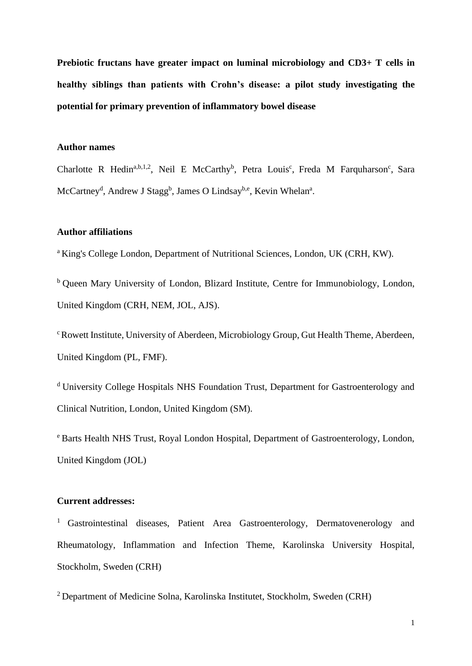**Prebiotic fructans have greater impact on luminal microbiology and CD3+ T cells in healthy siblings than patients with Crohn's disease: a pilot study investigating the potential for primary prevention of inflammatory bowel disease**

## **Author names**

Charlotte R Hedin<sup>a,b,1,2</sup>, Neil E McCarthy<sup>b</sup>, Petra Louis<sup>c</sup>, Freda M Farquharson<sup>c</sup>, Sara McCartney<sup>d</sup>, Andrew J Stagg<sup>b</sup>, James O Lindsay<sup>b,e</sup>, Kevin Whelan<sup>a</sup>.

## **Author affiliations**

<sup>a</sup> King's College London, Department of Nutritional Sciences, London, UK (CRH, KW).

 $b$  Queen Mary University of London, Blizard Institute, Centre for Immunobiology, London, United Kingdom (CRH, NEM, JOL, AJS).

<sup>c</sup> Rowett Institute, University of Aberdeen, Microbiology Group, Gut Health Theme, Aberdeen, United Kingdom (PL, FMF).

<sup>d</sup> University College Hospitals NHS Foundation Trust, Department for Gastroenterology and Clinical Nutrition, London, United Kingdom (SM).

<sup>e</sup> Barts Health NHS Trust, Royal London Hospital, Department of Gastroenterology, London, United Kingdom (JOL)

## **Current addresses:**

<sup>1</sup> Gastrointestinal diseases, Patient Area Gastroenterology, Dermatovenerology and Rheumatology, Inflammation and Infection Theme, Karolinska University Hospital, Stockholm, Sweden (CRH)

<sup>2</sup> Department of Medicine Solna, Karolinska Institutet, Stockholm, Sweden (CRH)

1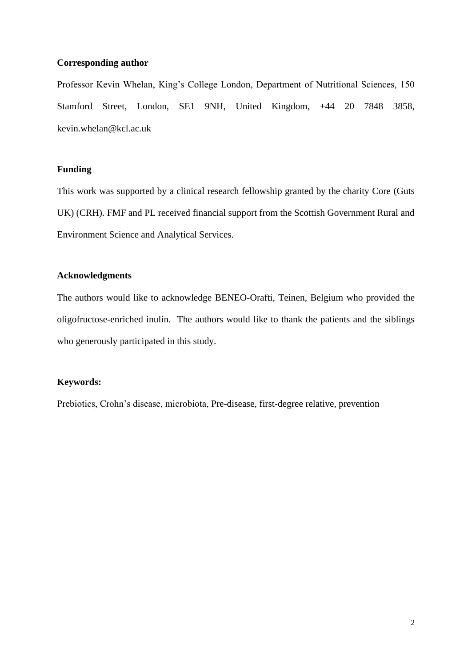### **Corresponding author**

Professor Kevin Whelan, King's College London, Department of Nutritional Sciences, 150 Stamford Street, London, SE1 9NH, United Kingdom, +44 20 7848 3858, kevin.whelan@kcl.ac.uk

## **Funding**

This work was supported by a clinical research fellowship granted by the charity Core (Guts UK) (CRH). FMF and PL received financial support from the Scottish Government Rural and Environment Science and Analytical Services.

## **Acknowledgments**

The authors would like to acknowledge BENEO-Orafti, Teinen, Belgium who provided the oligofructose-enriched inulin. The authors would like to thank the patients and the siblings who generously participated in this study.

## **Keywords:**

Prebiotics, Crohn's disease, microbiota, Pre-disease, first-degree relative, prevention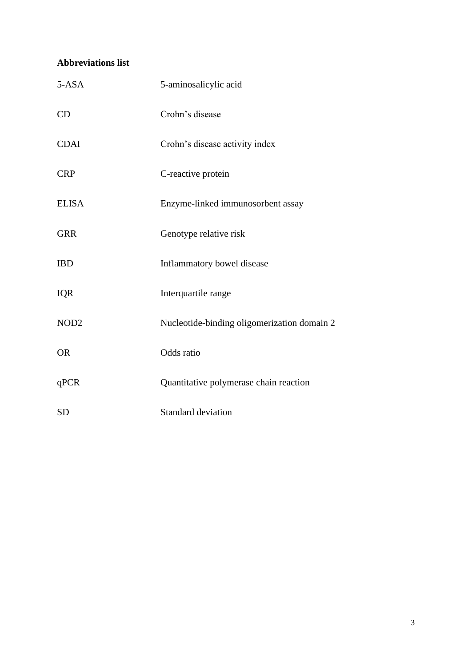# **Abbreviations list**

| $5-ASA$          | 5-aminosalicylic acid                       |
|------------------|---------------------------------------------|
| CD               | Crohn's disease                             |
| <b>CDAI</b>      | Crohn's disease activity index              |
| <b>CRP</b>       | C-reactive protein                          |
| <b>ELISA</b>     | Enzyme-linked immunosorbent assay           |
| <b>GRR</b>       | Genotype relative risk                      |
| <b>IBD</b>       | Inflammatory bowel disease                  |
| <b>IQR</b>       | Interquartile range                         |
| NOD <sub>2</sub> | Nucleotide-binding oligomerization domain 2 |
| <b>OR</b>        | Odds ratio                                  |
| qPCR             | Quantitative polymerase chain reaction      |
| <b>SD</b>        | <b>Standard deviation</b>                   |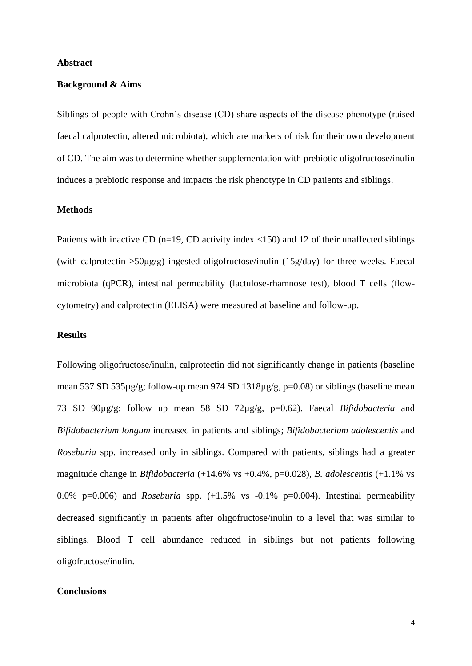#### **Abstract**

#### **Background & Aims**

Siblings of people with Crohn's disease (CD) share aspects of the disease phenotype (raised faecal calprotectin, altered microbiota), which are markers of risk for their own development of CD. The aim was to determine whether supplementation with prebiotic oligofructose/inulin induces a prebiotic response and impacts the risk phenotype in CD patients and siblings.

### **Methods**

Patients with inactive CD (n=19, CD activity index <150) and 12 of their unaffected siblings (with calprotectin  $>50\mu g/g$ ) ingested oligofructose/inulin (15g/day) for three weeks. Faecal microbiota (qPCR), intestinal permeability (lactulose-rhamnose test), blood T cells (flowcytometry) and calprotectin (ELISA) were measured at baseline and follow-up.

#### **Results**

Following oligofructose/inulin, calprotectin did not significantly change in patients (baseline mean 537 SD 535µg/g; follow-up mean 974 SD 1318µg/g, p=0.08) or siblings (baseline mean 73 SD 90µg/g: follow up mean 58 SD 72µg/g, p=0.62). Faecal *Bifidobacteria* and *Bifidobacterium longum* increased in patients and siblings; *Bifidobacterium adolescentis* and *Roseburia* spp. increased only in siblings. Compared with patients, siblings had a greater magnitude change in *Bifidobacteria* (+14.6% vs +0.4%, p=0.028), *B. adolescentis* (+1.1% vs 0.0% p=0.006) and *Roseburia* spp. (+1.5% vs -0.1% p=0.004). Intestinal permeability decreased significantly in patients after oligofructose/inulin to a level that was similar to siblings. Blood T cell abundance reduced in siblings but not patients following oligofructose/inulin.

### **Conclusions**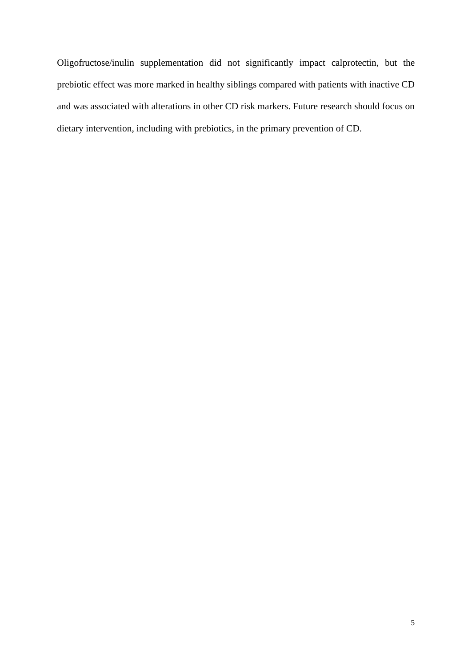Oligofructose/inulin supplementation did not significantly impact calprotectin, but the prebiotic effect was more marked in healthy siblings compared with patients with inactive CD and was associated with alterations in other CD risk markers. Future research should focus on dietary intervention, including with prebiotics, in the primary prevention of CD.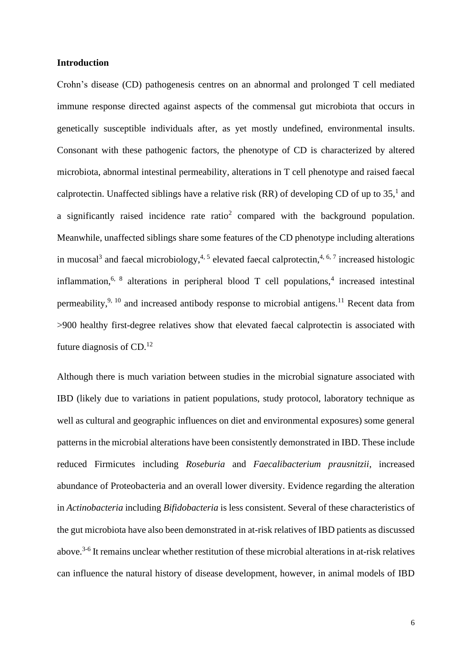#### **Introduction**

Crohn's disease (CD) pathogenesis centres on an abnormal and prolonged T cell mediated immune response directed against aspects of the commensal gut microbiota that occurs in genetically susceptible individuals after, as yet mostly undefined, environmental insults. Consonant with these pathogenic factors, the phenotype of CD is characterized by altered microbiota, abnormal intestinal permeability, alterations in T cell phenotype and raised faecal calprotectin. Unaffected siblings have a relative risk (RR) of developing CD of up to  $35<sup>1</sup>$  $35<sup>1</sup>$  $35<sup>1</sup>$  and a significantly raised incidence rate ratio<sup>[2](#page-32-1)</sup> compared with the background population. Meanwhile, unaffected siblings share some features of the CD phenotype including alterations in mucosa[l](#page-32-2)<sup>3</sup> and faecal microbiology,<sup>[4,](#page-32-3) [5](#page-32-4)</sup> elevated faecal calprotectin,<sup>4, [6,](#page-32-5) [7](#page-32-6)</sup> increased histologic inflammation,<sup>[6,](#page-32-5) [8](#page-32-7)</sup> alterations in peripheral blood T cell populations,<sup>[4](#page-32-3)</sup> increased intestinal permeability,  $9, 10$  $9, 10$  and increased antibody response to microbial antigens.<sup>[11](#page-32-10)</sup> Recent data from >900 healthy first-degree relatives show that elevated faecal calprotectin is associated with future diagnosis of CD.<sup>[12](#page-32-11)</sup>

Although there is much variation between studies in the microbial signature associated with IBD (likely due to variations in patient populations, study protocol, laboratory technique as well as cultural and geographic influences on diet and environmental exposures) some general patterns in the microbial alterations have been consistently demonstrated in IBD. These include reduced Firmicutes including *Roseburia* and *Faecalibacterium prausnitzii*, increased abundance of Proteobacteria and an overall lower diversity. Evidence regarding the alteration in *Actinobacteria* including *Bifidobacteria* is less consistent. Several of these characteristics of the gut microbiota have also been demonstrated in at-risk relatives of IBD patients as discussed above.<sup>[3-6](#page-32-2)</sup> It remains unclear whether restitution of these microbial alterations in at-risk relatives can influence the natural history of disease development, however, in animal models of IBD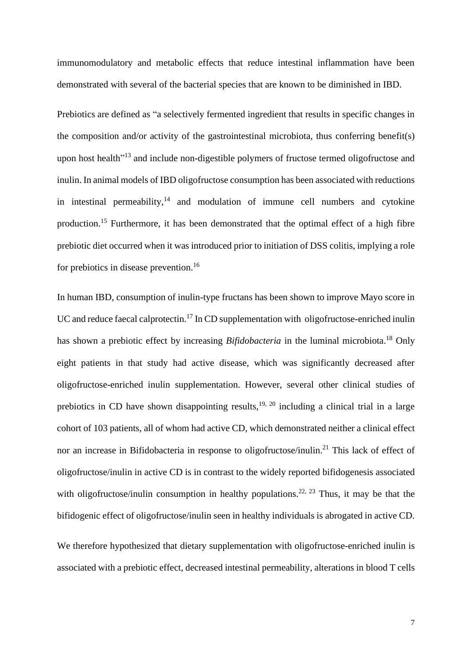immunomodulatory and metabolic effects that reduce intestinal inflammation have been demonstrated with several of the bacterial species that are known to be diminished in IBD.

Prebiotics are defined as "a selectively fermented ingredient that results in specific changes in the composition and/or activity of the gastrointestinal microbiota, thus conferring benefit(s) upon host health<sup>"[13](#page-32-12)</sup> and include non-digestible polymers of fructose termed oligofructose and inulin. In animal models of IBD oligofructose consumption has been associated with reductions in intestinal permeability, $14$  and modulation of immune cell numbers and cytokine production.[15](#page-33-0) Furthermore, it has been demonstrated that the optimal effect of a high fibre prebiotic diet occurred when it was introduced prior to initiation of DSS colitis, implying a role for prebiotics in disease prevention.<sup>[16](#page-33-1)</sup>

In human IBD, consumption of inulin-type fructans has been shown to improve Mayo score in UC and reduce faecal calprotectin.<sup>[17](#page-33-2)</sup> In CD supplementation with oligofructose-enriched inulin has shown a prebiotic effect by increasing *Bifidobacteria* in the luminal microbiota. [18](#page-33-3) Only eight patients in that study had active disease, which was significantly decreased after oligofructose-enriched inulin supplementation. However, several other clinical studies of prebiotics in CD have shown disappointing results,<sup>[19,](#page-33-4) [20](#page-33-5)</sup> including a clinical trial in a large cohort of 103 patients, all of whom had active CD, which demonstrated neither a clinical effect nor an increase in Bifidobacteria in response to oligofructose/inulin.<sup>[21](#page-33-6)</sup> This lack of effect of oligofructose/inulin in active CD is in contrast to the widely reported bifidogenesis associated with oligofructose/inulin consumption in healthy populations.<sup>[22,](#page-33-7) [23](#page-33-8)</sup> Thus, it may be that the bifidogenic effect of oligofructose/inulin seen in healthy individuals is abrogated in active CD.

We therefore hypothesized that dietary supplementation with oligofructose-enriched inulin is associated with a prebiotic effect, decreased intestinal permeability, alterations in blood T cells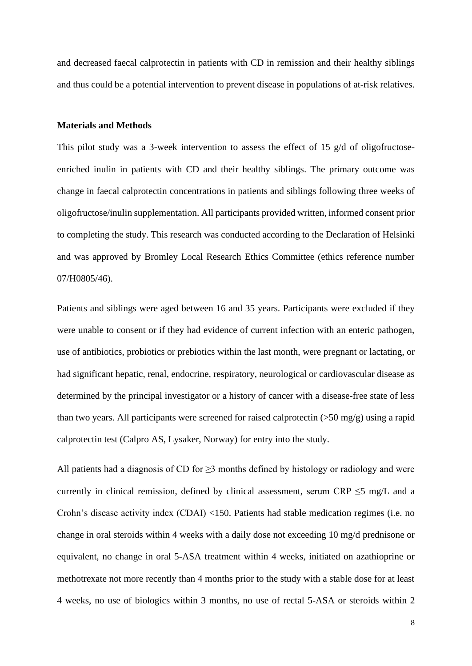and decreased faecal calprotectin in patients with CD in remission and their healthy siblings and thus could be a potential intervention to prevent disease in populations of at-risk relatives.

## **Materials and Methods**

This pilot study was a 3-week intervention to assess the effect of 15 g/d of oligofructoseenriched inulin in patients with CD and their healthy siblings. The primary outcome was change in faecal calprotectin concentrations in patients and siblings following three weeks of oligofructose/inulin supplementation. All participants provided written, informed consent prior to completing the study. This research was conducted according to the Declaration of Helsinki and was approved by Bromley Local Research Ethics Committee (ethics reference number 07/H0805/46).

Patients and siblings were aged between 16 and 35 years. Participants were excluded if they were unable to consent or if they had evidence of current infection with an enteric pathogen, use of antibiotics, probiotics or prebiotics within the last month, were pregnant or lactating, or had significant hepatic, renal, endocrine, respiratory, neurological or cardiovascular disease as determined by the principal investigator or a history of cancer with a disease-free state of less than two years. All participants were screened for raised calprotectin (>50 mg/g) using a rapid calprotectin test (Calpro AS, Lysaker, Norway) for entry into the study.

All patients had a diagnosis of CD for  $\geq$ 3 months defined by histology or radiology and were currently in clinical remission, defined by clinical assessment, serum CRP  $\leq$ 5 mg/L and a Crohn's disease activity index (CDAI) <150. Patients had stable medication regimes (i.e. no change in oral steroids within 4 weeks with a daily dose not exceeding 10 mg/d prednisone or equivalent, no change in oral 5-ASA treatment within 4 weeks, initiated on azathioprine or methotrexate not more recently than 4 months prior to the study with a stable dose for at least 4 weeks, no use of biologics within 3 months, no use of rectal 5-ASA or steroids within 2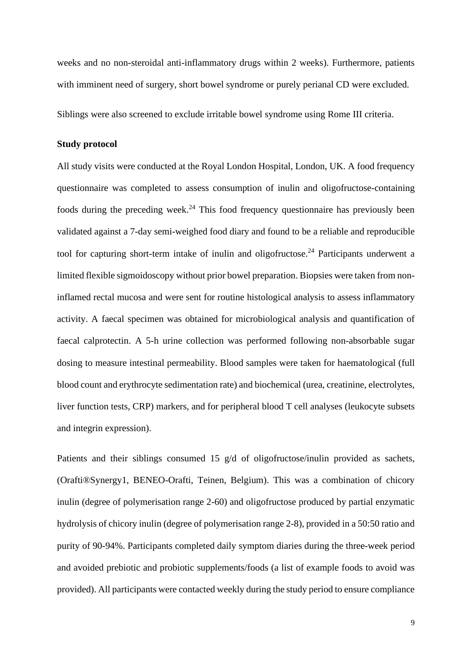weeks and no non-steroidal anti-inflammatory drugs within 2 weeks). Furthermore, patients with imminent need of surgery, short bowel syndrome or purely perianal CD were excluded.

Siblings were also screened to exclude irritable bowel syndrome using Rome III criteria.

### **Study protocol**

All study visits were conducted at the Royal London Hospital, London, UK. A food frequency questionnaire was completed to assess consumption of inulin and oligofructose-containing foods during the preceding week.<sup>[24](#page-33-9)</sup> This food frequency questionnaire has previously been validated against a 7-day semi-weighed food diary and found to be a reliable and reproducible tool for capturing short-term intake of inulin and oligofructose.<sup>[24](#page-33-9)</sup> Participants underwent a limited flexible sigmoidoscopy without prior bowel preparation. Biopsies were taken from noninflamed rectal mucosa and were sent for routine histological analysis to assess inflammatory activity. A faecal specimen was obtained for microbiological analysis and quantification of faecal calprotectin. A 5-h urine collection was performed following non-absorbable sugar dosing to measure intestinal permeability. Blood samples were taken for haematological (full blood count and erythrocyte sedimentation rate) and biochemical (urea, creatinine, electrolytes, liver function tests, CRP) markers, and for peripheral blood T cell analyses (leukocyte subsets and integrin expression).

Patients and their siblings consumed 15 g/d of oligofructose/inulin provided as sachets, (Orafti®Synergy1, BENEO-Orafti, Teinen, Belgium). This was a combination of chicory inulin (degree of polymerisation range 2-60) and oligofructose produced by partial enzymatic hydrolysis of chicory inulin (degree of polymerisation range 2-8), provided in a 50:50 ratio and purity of 90-94%. Participants completed daily symptom diaries during the three-week period and avoided prebiotic and probiotic supplements/foods (a list of example foods to avoid was provided). All participants were contacted weekly during the study period to ensure compliance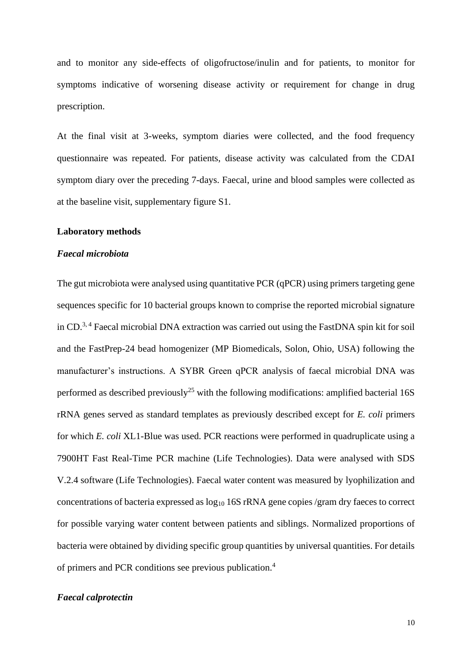and to monitor any side-effects of oligofructose/inulin and for patients, to monitor for symptoms indicative of worsening disease activity or requirement for change in drug prescription.

At the final visit at 3-weeks, symptom diaries were collected, and the food frequency questionnaire was repeated. For patients, disease activity was calculated from the CDAI symptom diary over the preceding 7-days. Faecal, urine and blood samples were collected as at the baseline visit, supplementary figure S1.

#### **Laboratory methods**

#### *Faecal microbiota*

The gut microbiota were analysed using quantitative PCR (qPCR) using primers targeting gene sequences specific for 10 bacterial groups known to comprise the reported microbial signature in CD.<sup>[3,](#page-32-2) [4](#page-32-3)</sup> Faecal microbial DNA extraction was carried out using the FastDNA spin kit for soil and the FastPrep-24 bead homogenizer (MP Biomedicals, Solon, Ohio, USA) following the manufacturer's instructions. A SYBR Green qPCR analysis of faecal microbial DNA was performed as described previously<sup>[25](#page-33-10)</sup> with the following modifications: amplified bacterial 16S rRNA genes served as standard templates as previously described except for *E. coli* primers for which *E. coli* XL1-Blue was used. PCR reactions were performed in quadruplicate using a 7900HT Fast Real-Time PCR machine (Life Technologies). Data were analysed with SDS V.2.4 software (Life Technologies). Faecal water content was measured by lyophilization and concentrations of bacteria expressed as  $log_{10}$  16S rRNA gene copies /gram dry faeces to correct for possible varying water content between patients and siblings. Normalized proportions of bacteria were obtained by dividing specific group quantities by universal quantities. For details of primers and PCR conditions see previous publication.[4](#page-32-3)

### *Faecal calprotectin*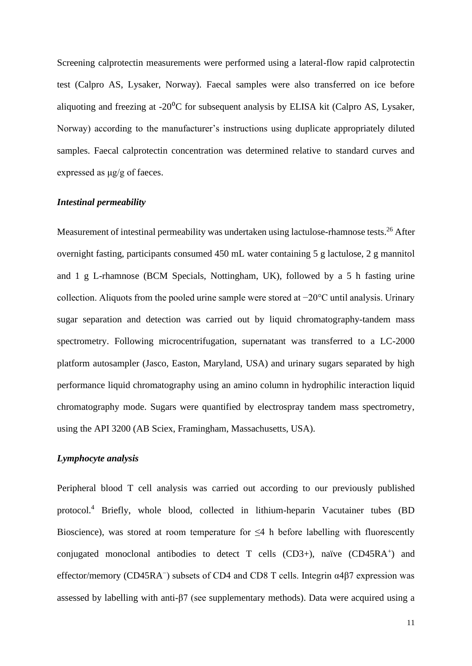Screening calprotectin measurements were performed using a lateral-flow rapid calprotectin test (Calpro AS, Lysaker, Norway). Faecal samples were also transferred on ice before aliquoting and freezing at  $-20^{\circ}$ C for subsequent analysis by ELISA kit (Calpro AS, Lysaker, Norway) according to the manufacturer's instructions using duplicate appropriately diluted samples. Faecal calprotectin concentration was determined relative to standard curves and expressed as μg/g of faeces.

## *Intestinal permeability*

Measurement of intestinal permeability was undertaken using lactulose-rhamnose tests.<sup>[26](#page-33-11)</sup> After overnight fasting, participants consumed 450 mL water containing 5 g lactulose, 2 g mannitol and 1 g L-rhamnose (BCM Specials, Nottingham, UK), followed by a 5 h fasting urine collection. Aliquots from the pooled urine sample were stored at −20°C until analysis. Urinary sugar separation and detection was carried out by liquid chromatography-tandem mass spectrometry. Following microcentrifugation, supernatant was transferred to a LC-2000 platform autosampler (Jasco, Easton, Maryland, USA) and urinary sugars separated by high performance liquid chromatography using an amino column in hydrophilic interaction liquid chromatography mode. Sugars were quantified by electrospray tandem mass spectrometry, using the API 3200 (AB Sciex, Framingham, Massachusetts, USA).

## *Lymphocyte analysis*

Peripheral blood T cell analysis was carried out according to our previously published protocol.[4](#page-32-3) Briefly, whole blood, collected in lithium-heparin Vacutainer tubes (BD Bioscience), was stored at room temperature for  $\leq 4$  h before labelling with fluorescently conjugated monoclonal antibodies to detect T cells (CD3+), naïve (CD45RA<sup>+</sup>) and effector/memory (CD45RA<sup>-</sup>) subsets of CD4 and CD8 T cells. Integrin α4β7 expression was assessed by labelling with anti-β7 (see supplementary methods). Data were acquired using a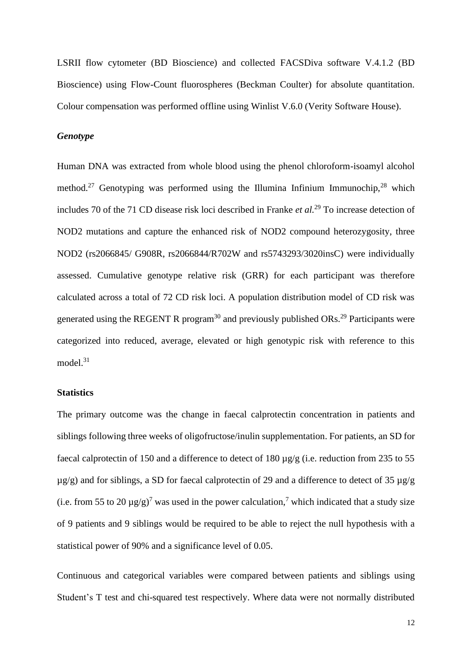LSRII flow cytometer (BD Bioscience) and collected FACSDiva software V.4.1.2 (BD Bioscience) using Flow-Count fluorospheres (Beckman Coulter) for absolute quantitation. Colour compensation was performed offline using Winlist V.6.0 (Verity Software House).

#### *Genotype*

Human DNA was extracted from whole blood using the phenol chloroform-isoamyl alcohol method.<sup>[27](#page-33-12)</sup> Genotyping was performed using the Illumina Infinium Immunochip,  $28$  which includes 70 of the 71 CD disease risk loci described in Franke *et al.*[29](#page-33-14) To increase detection of NOD2 mutations and capture the enhanced risk of NOD2 compound heterozygosity, three NOD2 (rs2066845/ G908R, rs2066844/R702W and rs5743293/3020insC) were individually assessed. Cumulative genotype relative risk (GRR) for each participant was therefore calculated across a total of 72 CD risk loci. A population distribution model of CD risk was generated using the REGENT R program<sup>[30](#page-33-15)</sup> and previously published ORs.<sup>[29](#page-33-14)</sup> Participants were categorized into reduced, average, elevated or high genotypic risk with reference to this model. $31$ 

#### **Statistics**

The primary outcome was the change in faecal calprotectin concentration in patients and siblings following three weeks of oligofructose/inulin supplementation. For patients, an SD for faecal calprotectin of 150 and a difference to detect of 180 µg/g (i.e. reduction from 235 to 55  $\mu$ g/g) and for siblings, a SD for faecal calprotectin of 29 and a difference to detect of 35  $\mu$ g/g (i.e. from 55 to 20  $\mu$ g/g)<sup>[7](#page-32-6)</sup> was used in the power calculation,<sup>7</sup> which indicated that a study size of 9 patients and 9 siblings would be required to be able to reject the null hypothesis with a statistical power of 90% and a significance level of 0.05.

Continuous and categorical variables were compared between patients and siblings using Student's T test and chi-squared test respectively. Where data were not normally distributed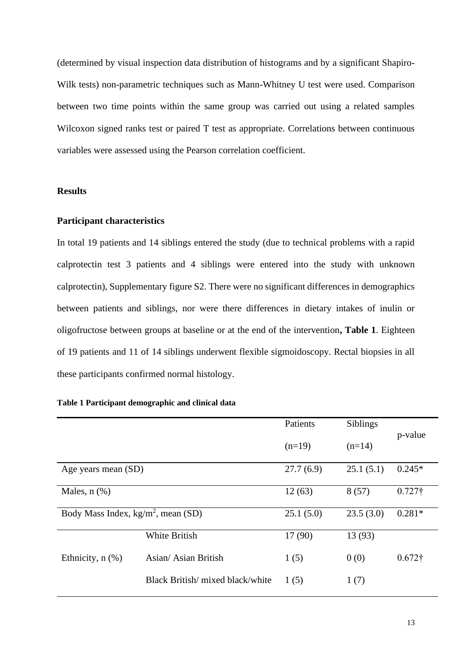(determined by visual inspection data distribution of histograms and by a significant Shapiro-Wilk tests) non-parametric techniques such as Mann-Whitney U test were used. Comparison between two time points within the same group was carried out using a related samples Wilcoxon signed ranks test or paired T test as appropriate. Correlations between continuous variables were assessed using the Pearson correlation coefficient.

#### **Results**

## **Participant characteristics**

In total 19 patients and 14 siblings entered the study (due to technical problems with a rapid calprotectin test 3 patients and 4 siblings were entered into the study with unknown calprotectin), Supplementary figure S2. There were no significant differences in demographics between patients and siblings, nor were there differences in dietary intakes of inulin or oligofructose between groups at baseline or at the end of the intervention**, Table 1**. Eighteen of 19 patients and 11 of 14 siblings underwent flexible sigmoidoscopy. Rectal biopsies in all these participants confirmed normal histology.

#### **Table 1 Participant demographic and clinical data**

|                                       |                                  | Patients  | Siblings  | p-value        |  |
|---------------------------------------|----------------------------------|-----------|-----------|----------------|--|
|                                       |                                  | $(n=19)$  | $(n=14)$  |                |  |
| Age years mean (SD)                   | 27.7(6.9)                        | 25.1(5.1) | $0.245*$  |                |  |
| Males, $n$ $(\%)$                     |                                  | 12(63)    | 8(57)     | $0.727\dagger$ |  |
| Body Mass Index, $kg/m^2$ , mean (SD) |                                  | 25.1(5.0) | 23.5(3.0) | $0.281*$       |  |
|                                       | <b>White British</b>             | 17 (90)   | 13 (93)   |                |  |
| Ethnicity, $n$ $(\%)$                 | Asian/Asian British              | 1(5)      | 0(0)      | $0.672\dagger$ |  |
|                                       | Black British/ mixed black/white | 1(5)      | 1(7)      |                |  |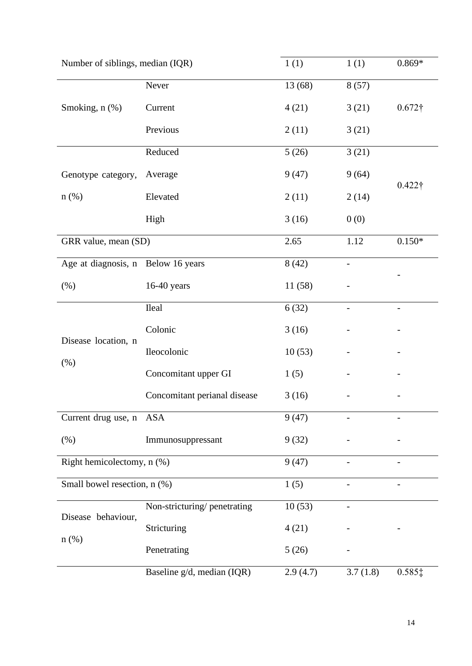| Number of siblings, median (IQR)   | 1(1)                         | 1(1)     | $0.869*$ |                              |  |  |
|------------------------------------|------------------------------|----------|----------|------------------------------|--|--|
|                                    | Never                        | 13 (68)  | 8(57)    |                              |  |  |
| Smoking, n (%)                     | Current                      | 4(21)    | 3(21)    | $0.672\dagger$               |  |  |
|                                    | Previous                     | 2(11)    | 3(21)    |                              |  |  |
|                                    | Reduced                      | 5(26)    | 3(21)    |                              |  |  |
| Genotype category,                 | Average                      | 9(47)    | 9(64)    | $0.422\dagger$               |  |  |
| $n$ (%)                            | Elevated                     | 2(11)    | 2(14)    |                              |  |  |
|                                    | High                         | 3(16)    | 0(0)     |                              |  |  |
| GRR value, mean (SD)               |                              | 2.65     | 1.12     | $0.150^{\ast}$               |  |  |
| Age at diagnosis, n Below 16 years |                              | 8(42)    |          |                              |  |  |
| (% )                               | $16-40$ years                | 11(58)   |          |                              |  |  |
| Disease location, n<br>(% )        | <b>Ileal</b>                 | 6(32)    |          |                              |  |  |
|                                    | Colonic                      | 3(16)    |          |                              |  |  |
|                                    | Ileocolonic                  | 10(53)   |          |                              |  |  |
|                                    | Concomitant upper GI         | 1(5)     |          |                              |  |  |
|                                    | Concomitant perianal disease | 3(16)    |          |                              |  |  |
| Current drug use, n                | ASA                          | 9(47)    |          |                              |  |  |
| (% )                               | Immunosuppressant            | 9(32)    |          |                              |  |  |
| Right hemicolectomy, n (%)         |                              | 9(47)    |          | $\qquad \qquad \blacksquare$ |  |  |
| Small bowel resection, n (%)       |                              | 1(5)     |          |                              |  |  |
| Disease behaviour,                 | Non-stricturing/penetrating  | 10(53)   |          |                              |  |  |
|                                    | Stricturing                  | 4(21)    |          |                              |  |  |
| $n$ (%)                            | Penetrating                  | 5(26)    |          |                              |  |  |
|                                    | Baseline g/d, median (IQR)   | 2.9(4.7) | 3.7(1.8) | $0.585$ ‡                    |  |  |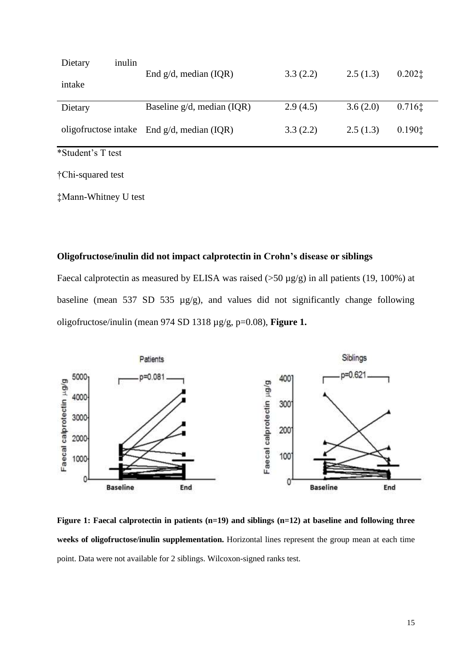| Dietary           | inulin |                                               |          |          | 0.2021 |  |
|-------------------|--------|-----------------------------------------------|----------|----------|--------|--|
| intake            |        | End $g/d$ , median (IQR)                      | 3.3(2.2) | 2.5(1.3) |        |  |
| Dietary           |        | Baseline g/d, median (IQR)                    | 2.9(4.5) | 3.6(2.0) | 0.7161 |  |
|                   |        | oligofructose intake End $g/d$ , median (IQR) | 3.3(2.2) | 2.5(1.3) | 0.1901 |  |
| *Student's T test |        |                                               |          |          |        |  |

†Chi-squared test

‡Mann-Whitney U test

## **Oligofructose/inulin did not impact calprotectin in Crohn's disease or siblings**

Faecal calprotectin as measured by ELISA was raised  $(50 \mu g/g)$  in all patients (19, 100%) at baseline (mean 537 SD 535 µg/g), and values did not significantly change following oligofructose/inulin (mean 974 SD 1318 µg/g, p=0.08), **Figure 1.**



**Figure 1: Faecal calprotectin in patients (n=19) and siblings (n=12) at baseline and following three weeks of oligofructose/inulin supplementation.** Horizontal lines represent the group mean at each time point. Data were not available for 2 siblings. Wilcoxon-signed ranks test.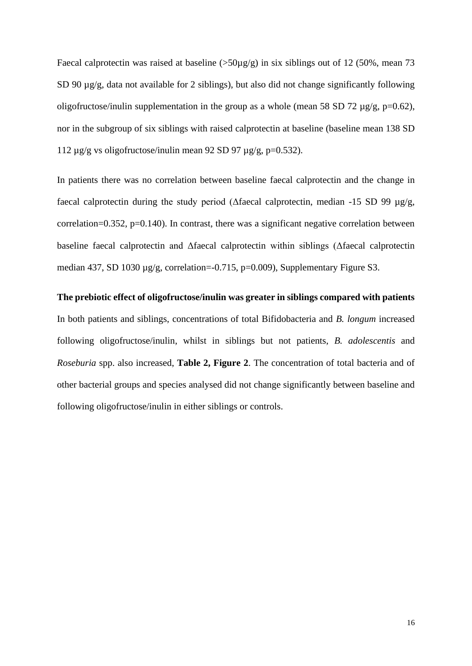Faecal calprotectin was raised at baseline ( $>50\mu$ g/g) in six siblings out of 12 (50%, mean 73 SD 90  $\mu$ g/g, data not available for 2 siblings), but also did not change significantly following oligofructose/inulin supplementation in the group as a whole (mean 58 SD 72  $\mu$ g/g, p=0.62), nor in the subgroup of six siblings with raised calprotectin at baseline (baseline mean 138 SD 112  $\mu$ g/g vs oligofructose/inulin mean 92 SD 97  $\mu$ g/g, p=0.532).

In patients there was no correlation between baseline faecal calprotectin and the change in faecal calprotectin during the study period (Δfaecal calprotectin, median -15 SD 99 µg/g, correlation=0.352, p=0.140). In contrast, there was a significant negative correlation between baseline faecal calprotectin and Δfaecal calprotectin within siblings (Δfaecal calprotectin median 437, SD 1030 µg/g, correlation=-0.715, p=0.009), Supplementary Figure S3.

## **The prebiotic effect of oligofructose/inulin was greater in siblings compared with patients**

In both patients and siblings, concentrations of total Bifidobacteria and *B. longum* increased following oligofructose/inulin, whilst in siblings but not patients, *B. adolescentis* and *Roseburia* spp. also increased, **Table 2, Figure 2**. The concentration of total bacteria and of other bacterial groups and species analysed did not change significantly between baseline and following oligofructose/inulin in either siblings or controls.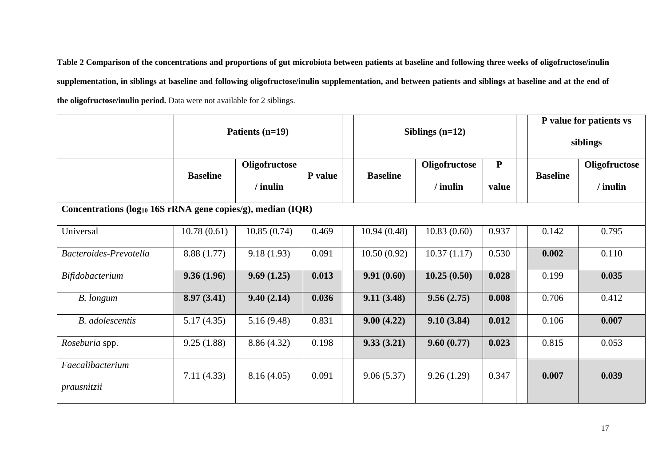**Table 2 Comparison of the concentrations and proportions of gut microbiota between patients at baseline and following three weeks of oligofructose/inulin supplementation, in siblings at baseline and following oligofructose/inulin supplementation, and between patients and siblings at baseline and at the end of the oligofructose/inulin period.** Data were not available for 2 siblings.

|                                                                         | Patients (n=19) |                             |         |                 | Siblings $(n=12)$         |                    |  |                 | P value for patients vs<br>siblings |  |
|-------------------------------------------------------------------------|-----------------|-----------------------------|---------|-----------------|---------------------------|--------------------|--|-----------------|-------------------------------------|--|
|                                                                         | <b>Baseline</b> | Oligofructose<br>$/$ inulin | P value | <b>Baseline</b> | Oligofructose<br>/ inulin | ${\bf P}$<br>value |  | <b>Baseline</b> | Oligofructose<br>/ inulin           |  |
| Concentrations (log <sub>10</sub> 16S rRNA gene copies/g), median (IQR) |                 |                             |         |                 |                           |                    |  |                 |                                     |  |
| Universal                                                               | 10.78(0.61)     | 10.85(0.74)                 | 0.469   | 10.94(0.48)     | 10.83(0.60)               | 0.937              |  | 0.142           | 0.795                               |  |
| Bacteroides-Prevotella                                                  | 8.88 (1.77)     | 9.18(1.93)                  | 0.091   | 10.50(0.92)     | 10.37(1.17)               | 0.530              |  | 0.002           | 0.110                               |  |
| Bifidobacterium                                                         | 9.36(1.96)      | 9.69(1.25)                  | 0.013   | 9.91(0.60)      | 10.25(0.50)               | 0.028              |  | 0.199           | 0.035                               |  |
| B. longum                                                               | 8.97(3.41)      | 9.40(2.14)                  | 0.036   | 9.11(3.48)      | 9.56(2.75)                | 0.008              |  | 0.706           | 0.412                               |  |
| <b>B.</b> adolescentis                                                  | 5.17(4.35)      | 5.16(9.48)                  | 0.831   | 9.00(4.22)      | 9.10(3.84)                | 0.012              |  | 0.106           | 0.007                               |  |
| Roseburia spp.                                                          | 9.25(1.88)      | 8.86 (4.32)                 | 0.198   | 9.33(3.21)      | 9.60(0.77)                | 0.023              |  | 0.815           | 0.053                               |  |
| Faecalibacterium<br>prausnitzii                                         | 7.11(4.33)      | 8.16(4.05)                  | 0.091   | 9.06(5.37)      | 9.26(1.29)                | 0.347              |  | 0.007           | 0.039                               |  |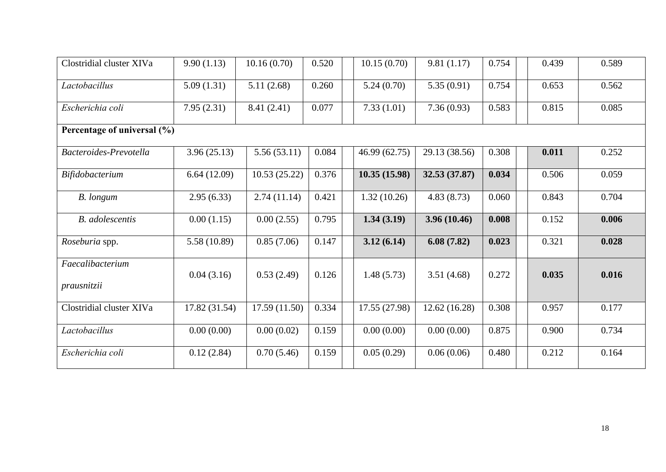| Clostridial cluster XIVa        | 9.90(1.13)    | 10.16(0.70)   | 0.520 |  | 10.15(0.70)   | 9.81(1.17)    | 0.754 | 0.439 | 0.589 |  |
|---------------------------------|---------------|---------------|-------|--|---------------|---------------|-------|-------|-------|--|
| Lactobacillus                   | 5.09(1.31)    | 5.11(2.68)    | 0.260 |  | 5.24(0.70)    | 5.35(0.91)    | 0.754 | 0.653 | 0.562 |  |
| Escherichia coli                | 7.95(2.31)    | 8.41(2.41)    | 0.077 |  | 7.33(1.01)    | 7.36(0.93)    | 0.583 | 0.815 | 0.085 |  |
| Percentage of universal (%)     |               |               |       |  |               |               |       |       |       |  |
| Bacteroides-Prevotella          | 3.96(25.13)   | 5.56(53.11)   | 0.084 |  | 46.99 (62.75) | 29.13 (38.56) | 0.308 | 0.011 | 0.252 |  |
| Bifidobacterium                 | 6.64(12.09)   | 10.53(25.22)  | 0.376 |  | 10.35(15.98)  | 32.53 (37.87) | 0.034 | 0.506 | 0.059 |  |
| B. longum                       | 2.95(6.33)    | 2.74(11.14)   | 0.421 |  | 1.32(10.26)   | 4.83(8.73)    | 0.060 | 0.843 | 0.704 |  |
| <b>B.</b> adolescentis          | 0.00(1.15)    | 0.00(2.55)    | 0.795 |  | 1.34(3.19)    | 3.96 (10.46)  | 0.008 | 0.152 | 0.006 |  |
| Roseburia spp.                  | 5.58 (10.89)  | 0.85(7.06)    | 0.147 |  | 3.12(6.14)    | 6.08(7.82)    | 0.023 | 0.321 | 0.028 |  |
| Faecalibacterium<br>prausnitzii | 0.04(3.16)    | 0.53(2.49)    | 0.126 |  | 1.48(5.73)    | 3.51(4.68)    | 0.272 | 0.035 | 0.016 |  |
| Clostridial cluster XIVa        | 17.82 (31.54) | 17.59 (11.50) | 0.334 |  | 17.55 (27.98) | 12.62 (16.28) | 0.308 | 0.957 | 0.177 |  |
| Lactobacillus                   | 0.00(0.00)    | 0.00(0.02)    | 0.159 |  | 0.00(0.00)    | 0.00(0.00)    | 0.875 | 0.900 | 0.734 |  |
| Escherichia coli                | 0.12(2.84)    | 0.70(5.46)    | 0.159 |  | 0.05(0.29)    | 0.06(0.06)    | 0.480 | 0.212 | 0.164 |  |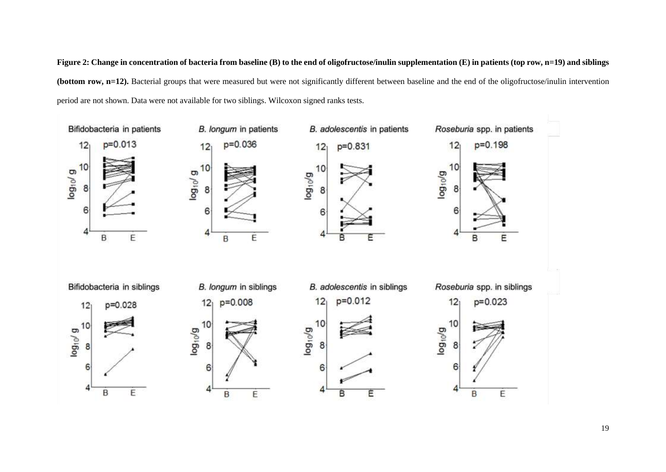Figure 2: Change in concentration of bacteria from baseline (B) to the end of oligofructose/inulin supplementation (E) in patients (top row, n=19) and siblings **(bottom row, n=12).** Bacterial groups that were measured but were not significantly different between baseline and the end of the oligofructose/inulin intervention period are not shown. Data were not available for two siblings. Wilcoxon signed ranks tests.

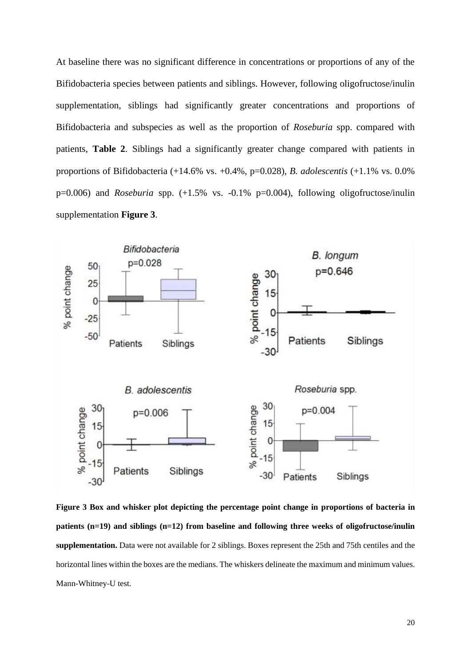At baseline there was no significant difference in concentrations or proportions of any of the Bifidobacteria species between patients and siblings. However, following oligofructose/inulin supplementation, siblings had significantly greater concentrations and proportions of Bifidobacteria and subspecies as well as the proportion of *Roseburia* spp. compared with patients, **Table 2**. Siblings had a significantly greater change compared with patients in proportions of Bifidobacteria (+14.6% vs. +0.4%, p=0.028), *B. adolescentis* (+1.1% vs. 0.0% p=0.006) and *Roseburia* spp. (+1.5% vs. -0.1% p=0.004), following oligofructose/inulin supplementation **Figure 3**.



**Figure 3 Box and whisker plot depicting the percentage point change in proportions of bacteria in patients (n=19) and siblings (n=12) from baseline and following three weeks of oligofructose/inulin supplementation.** Data were not available for 2 siblings. Boxes represent the 25th and 75th centiles and the horizontal lines within the boxes are the medians. The whiskers delineate the maximum and minimum values. Mann-Whitney-U test.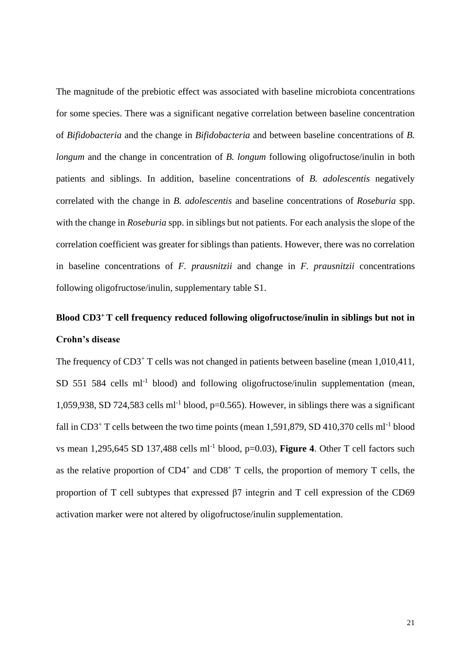The magnitude of the prebiotic effect was associated with baseline microbiota concentrations for some species. There was a significant negative correlation between baseline concentration of *Bifidobacteria* and the change in *Bifidobacteria* and between baseline concentrations of *B. longum* and the change in concentration of *B. longum* following oligofructose/inulin in both patients and siblings. In addition, baseline concentrations of *B. adolescentis* negatively correlated with the change in *B. adolescentis* and baseline concentrations of *Roseburia* spp. with the change in *Roseburia* spp. in siblings but not patients. For each analysis the slope of the correlation coefficient was greater for siblings than patients. However, there was no correlation in baseline concentrations of *F. prausnitzii* and change in *F. prausnitzii* concentrations following oligofructose/inulin, supplementary table S1.

# **Blood CD3<sup>+</sup>T cell frequency reduced following oligofructose/inulin in siblings but not in Crohn's disease**

The frequency of CD3<sup>+</sup> T cells was not changed in patients between baseline (mean 1,010,411, SD 551 584 cells ml<sup>-1</sup> blood) and following oligofructose/inulin supplementation (mean, 1,059,938, SD 724,583 cells  $ml^{-1}$  blood,  $p=0.565$ ). However, in siblings there was a significant fall in CD3<sup>+</sup> T cells between the two time points (mean 1,591,879, SD 410,370 cells ml<sup>-1</sup> blood vs mean 1,295,645 SD 137,488 cells ml<sup>-1</sup> blood, p=0.03), **Figure 4**. Other T cell factors such as the relative proportion of  $CD4^+$  and  $CD8^+$  T cells, the proportion of memory T cells, the proportion of T cell subtypes that expressed β7 integrin and T cell expression of the CD69 activation marker were not altered by oligofructose/inulin supplementation.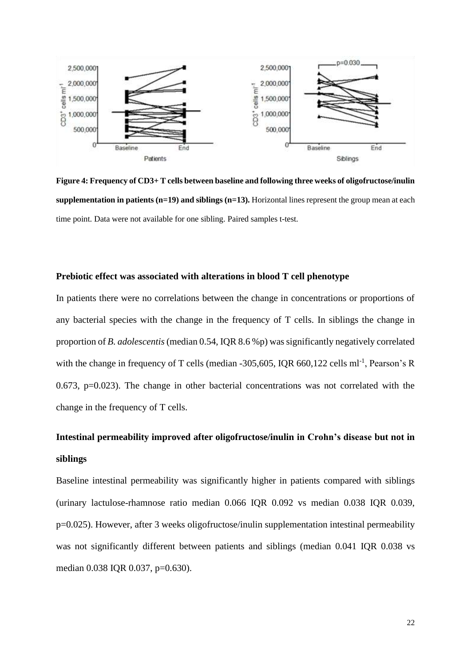

**Figure 4: Frequency of CD3+ T cells between baseline and following three weeks of oligofructose/inulin supplementation in patients (n=19) and siblings (n=13).** Horizontal lines represent the group mean at each time point. Data were not available for one sibling. Paired samples t-test.

## **Prebiotic effect was associated with alterations in blood T cell phenotype**

In patients there were no correlations between the change in concentrations or proportions of any bacterial species with the change in the frequency of T cells. In siblings the change in proportion of *B. adolescentis* (median 0.54, IQR 8.6 %p) was significantly negatively correlated with the change in frequency of T cells (median  $-305,605$ , IQR 660,122 cells ml<sup>-1</sup>, Pearson's R 0.673, p=0.023). The change in other bacterial concentrations was not correlated with the change in the frequency of T cells.

# **Intestinal permeability improved after oligofructose/inulin in Crohn's disease but not in siblings**

Baseline intestinal permeability was significantly higher in patients compared with siblings (urinary lactulose-rhamnose ratio median 0.066 IQR 0.092 vs median 0.038 IQR 0.039, p=0.025). However, after 3 weeks oligofructose/inulin supplementation intestinal permeability was not significantly different between patients and siblings (median 0.041 IQR 0.038 vs median 0.038 IQR 0.037, p=0.630).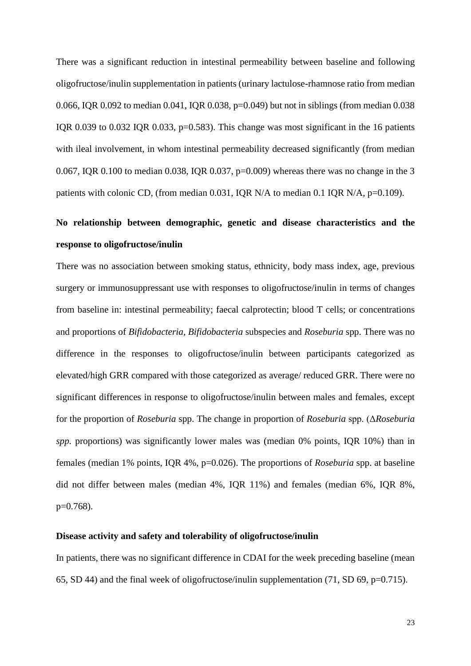There was a significant reduction in intestinal permeability between baseline and following oligofructose/inulin supplementation in patients (urinary lactulose-rhamnose ratio from median 0.066, IQR 0.092 to median 0.041, IQR 0.038, p=0.049) but not in siblings (from median 0.038 IQR 0.039 to 0.032 IQR 0.033, p=0.583). This change was most significant in the 16 patients with ileal involvement, in whom intestinal permeability decreased significantly (from median 0.067, IQR 0.100 to median 0.038, IQR 0.037, p=0.009) whereas there was no change in the 3 patients with colonic CD, (from median 0.031, IQR N/A to median 0.1 IQR N/A, p=0.109).

# **No relationship between demographic, genetic and disease characteristics and the response to oligofructose/inulin**

There was no association between smoking status, ethnicity, body mass index, age, previous surgery or immunosuppressant use with responses to oligofructose/inulin in terms of changes from baseline in: intestinal permeability; faecal calprotectin; blood T cells; or concentrations and proportions of *Bifidobacteria*, *Bifidobacteria* subspecies and *Roseburia* spp. There was no difference in the responses to oligofructose/inulin between participants categorized as elevated/high GRR compared with those categorized as average/ reduced GRR. There were no significant differences in response to oligofructose/inulin between males and females, except for the proportion of *Roseburia* spp. The change in proportion of *Roseburia* spp. (Δ*Roseburia spp.* proportions) was significantly lower males was (median 0% points, IQR 10%) than in females (median 1% points, IQR 4%, p=0.026). The proportions of *Roseburia* spp. at baseline did not differ between males (median 4%, IQR 11%) and females (median 6%, IQR 8%,  $p=0.768$ ).

### **Disease activity and safety and tolerability of oligofructose/inulin**

In patients, there was no significant difference in CDAI for the week preceding baseline (mean 65, SD 44) and the final week of oligofructose/inulin supplementation (71, SD 69, p=0.715).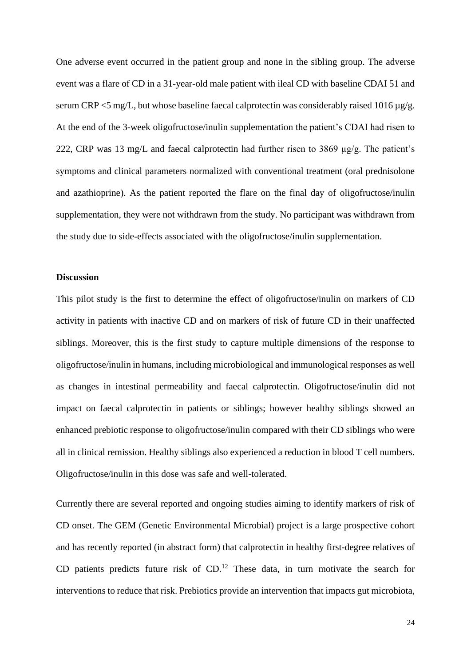One adverse event occurred in the patient group and none in the sibling group. The adverse event was a flare of CD in a 31-year-old male patient with ileal CD with baseline CDAI 51 and serum CRP  $\leq$ 5 mg/L, but whose baseline faecal calprotectin was considerably raised 1016 µg/g. At the end of the 3-week oligofructose/inulin supplementation the patient's CDAI had risen to 222, CRP was 13 mg/L and faecal calprotectin had further risen to 3869 µg/g. The patient's symptoms and clinical parameters normalized with conventional treatment (oral prednisolone and azathioprine). As the patient reported the flare on the final day of oligofructose/inulin supplementation, they were not withdrawn from the study. No participant was withdrawn from the study due to side-effects associated with the oligofructose/inulin supplementation.

#### **Discussion**

This pilot study is the first to determine the effect of oligofructose/inulin on markers of CD activity in patients with inactive CD and on markers of risk of future CD in their unaffected siblings. Moreover, this is the first study to capture multiple dimensions of the response to oligofructose/inulin in humans, including microbiological and immunological responses as well as changes in intestinal permeability and faecal calprotectin. Oligofructose/inulin did not impact on faecal calprotectin in patients or siblings; however healthy siblings showed an enhanced prebiotic response to oligofructose/inulin compared with their CD siblings who were all in clinical remission. Healthy siblings also experienced a reduction in blood T cell numbers. Oligofructose/inulin in this dose was safe and well-tolerated.

Currently there are several reported and ongoing studies aiming to identify markers of risk of CD onset. The GEM (Genetic Environmental Microbial) project is a large prospective cohort and has recently reported (in abstract form) that calprotectin in healthy first-degree relatives of CD patients predicts future risk of CD.[12](#page-32-14) These data, in turn motivate the search for interventions to reduce that risk. Prebiotics provide an intervention that impacts gut microbiota,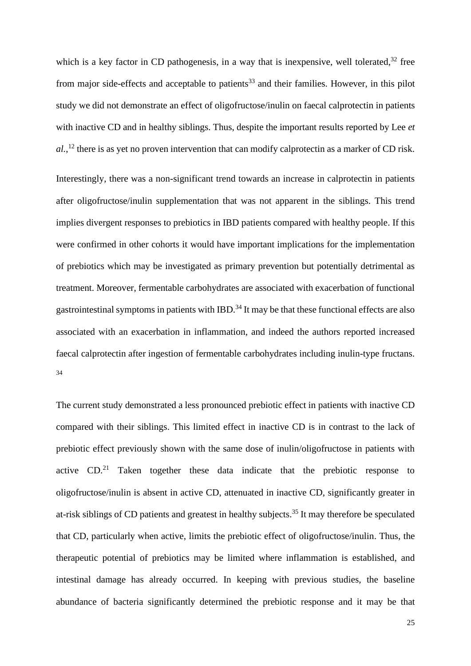which is a key factor in CD pathogenesis, in a way that is inexpensive, well tolerated, $32$  free from major side-effects and acceptable to patients<sup>[33](#page-34-1)</sup> and their families. However, in this pilot study we did not demonstrate an effect of oligofructose/inulin on faecal calprotectin in patients with inactive CD and in healthy siblings. Thus, despite the important results reported by Lee *et al.*, [12](#page-32-14) there is as yet no proven intervention that can modify calprotectin as a marker of CD risk.

Interestingly, there was a non-significant trend towards an increase in calprotectin in patients after oligofructose/inulin supplementation that was not apparent in the siblings. This trend implies divergent responses to prebiotics in IBD patients compared with healthy people. If this were confirmed in other cohorts it would have important implications for the implementation of prebiotics which may be investigated as primary prevention but potentially detrimental as treatment. Moreover, fermentable carbohydrates are associated with exacerbation of functional gastrointestinal symptoms in patients with IBD.<sup>[34](#page-34-2)</sup> It may be that these functional effects are also associated with an exacerbation in inflammation, and indeed the authors reported increased faecal calprotectin after ingestion of fermentable carbohydrates including inulin-type fructans. [34](#page-34-2)

The current study demonstrated a less pronounced prebiotic effect in patients with inactive CD compared with their siblings. This limited effect in inactive CD is in contrast to the lack of prebiotic effect previously shown with the same dose of inulin/oligofructose in patients with active  $CD<sup>21</sup>$  $CD<sup>21</sup>$  $CD<sup>21</sup>$  Taken together these data indicate that the prebiotic response to oligofructose/inulin is absent in active CD, attenuated in inactive CD, significantly greater in at-risk siblings of CD patients and greatest in healthy subjects. [35](#page-34-3) It may therefore be speculated that CD, particularly when active, limits the prebiotic effect of oligofructose/inulin. Thus, the therapeutic potential of prebiotics may be limited where inflammation is established, and intestinal damage has already occurred. In keeping with previous studies, the baseline abundance of bacteria significantly determined the prebiotic response and it may be that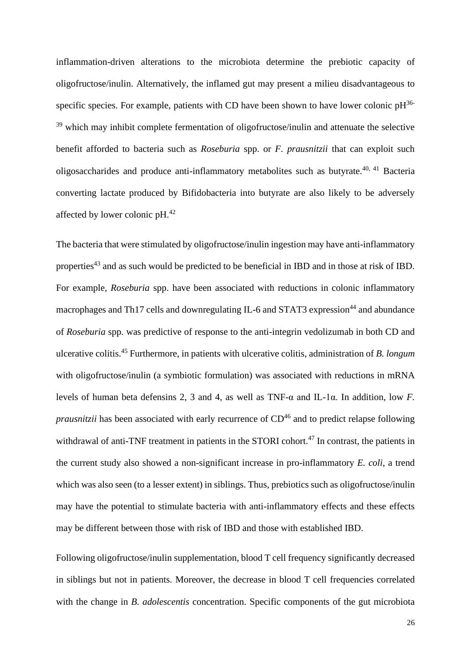inflammation-driven alterations to the microbiota determine the prebiotic capacity of oligofructose/inulin. Alternatively, the inflamed gut may present a milieu disadvantageous to specific species. For example, patients with CD have been shown to have lower colonic  $pH^{36-}$  $pH^{36-}$  $pH^{36-}$ <sup>39</sup> which may inhibit complete fermentation of oligofructose/inulin and attenuate the selective benefit afforded to bacteria such as *Roseburia* spp. or *F. prausnitzii* that can exploit such oligosaccharides and produce anti-inflammatory metabolites such as butyrate.<sup>[40,](#page-34-5) [41](#page-34-6)</sup> Bacteria converting lactate produced by Bifidobacteria into butyrate are also likely to be adversely affected by lower colonic  $pH.<sup>42</sup>$  $pH.<sup>42</sup>$  $pH.<sup>42</sup>$ 

The bacteria that were stimulated by oligofructose/inulin ingestion may have anti-inflammatory properties<sup>[43](#page-34-8)</sup> and as such would be predicted to be beneficial in IBD and in those at risk of IBD. For example, *Roseburia* spp. have been associated with reductions in colonic inflammatory macrophages and Th17 cells and downregulating IL-6 and STAT3 expression<sup>[44](#page-34-9)</sup> and abundance of *Roseburia* spp. was predictive of response to the anti-integrin vedolizumab in both CD and ulcerative colitis. [45](#page-34-10) Furthermore, in patients with ulcerative colitis, administration of *B. longum* with oligofructose/inulin (a symbiotic formulation) was associated with reductions in mRNA levels of human beta defensins 2, 3 and 4, as well as TNF-α and IL-1α. In addition, low *F. prausnitzii* has been associated with early recurrence of CD<sup>[46](#page-34-11)</sup> and to predict relapse following withdrawal of anti-TNF treatment in patients in the STORI cohort.<sup>[47](#page-34-12)</sup> In contrast, the patients in the current study also showed a non-significant increase in pro-inflammatory *E. coli*, a trend which was also seen (to a lesser extent) in siblings. Thus, prebiotics such as oligofructose/inulin may have the potential to stimulate bacteria with anti-inflammatory effects and these effects may be different between those with risk of IBD and those with established IBD.

Following oligofructose/inulin supplementation, blood T cell frequency significantly decreased in siblings but not in patients. Moreover, the decrease in blood T cell frequencies correlated with the change in *B. adolescentis* concentration. Specific components of the gut microbiota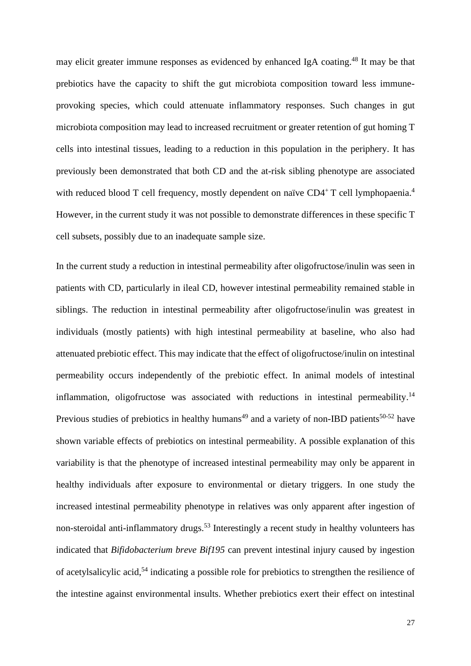may elicit greater immune responses as evidenced by enhanced IgA coating.<sup>[48](#page-35-0)</sup> It may be that prebiotics have the capacity to shift the gut microbiota composition toward less immuneprovoking species, which could attenuate inflammatory responses. Such changes in gut microbiota composition may lead to increased recruitment or greater retention of gut homing T cells into intestinal tissues, leading to a reduction in this population in the periphery. It has previously been demonstrated that both CD and the at-risk sibling phenotype are associated with reduced blood T cell frequency, mostly dependent on naïve CD[4](#page-32-15)<sup>+</sup>T cell lymphopaenia.<sup>4</sup> However, in the current study it was not possible to demonstrate differences in these specific T cell subsets, possibly due to an inadequate sample size.

In the current study a reduction in intestinal permeability after oligofructose/inulin was seen in patients with CD, particularly in ileal CD, however intestinal permeability remained stable in siblings. The reduction in intestinal permeability after oligofructose/inulin was greatest in individuals (mostly patients) with high intestinal permeability at baseline, who also had attenuated prebiotic effect. This may indicate that the effect of oligofructose/inulin on intestinal permeability occurs independently of the prebiotic effect. In animal models of intestinal inflammation, oligofructose was associated with reductions in intestinal permeability.<sup>[14](#page-32-16)</sup> Previous studies of prebiotics in healthy humans<sup>[49](#page-35-1)</sup> and a variety of non-IBD patients<sup>[50-52](#page-35-2)</sup> have shown variable effects of prebiotics on intestinal permeability. A possible explanation of this variability is that the phenotype of increased intestinal permeability may only be apparent in healthy individuals after exposure to environmental or dietary triggers. In one study the increased intestinal permeability phenotype in relatives was only apparent after ingestion of non-steroidal anti-inflammatory drugs.<sup>[53](#page-35-3)</sup> Interestingly a recent study in healthy volunteers has indicated that *Bifidobacterium breve Bif195* can prevent intestinal injury caused by ingestion of acetylsalicylic acid,<sup>[54](#page-35-4)</sup> indicating a possible role for prebiotics to strengthen the resilience of the intestine against environmental insults. Whether prebiotics exert their effect on intestinal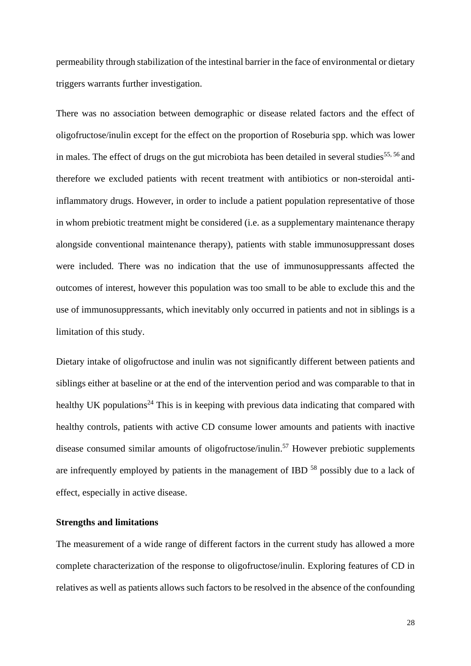permeability through stabilization of the intestinal barrier in the face of environmental or dietary triggers warrants further investigation.

There was no association between demographic or disease related factors and the effect of oligofructose/inulin except for the effect on the proportion of Roseburia spp. which was lower in males. The effect of drugs on the gut microbiota has been detailed in several studies<sup>[55,](#page-35-5) [56](#page-35-6)</sup> and therefore we excluded patients with recent treatment with antibiotics or non-steroidal antiinflammatory drugs. However, in order to include a patient population representative of those in whom prebiotic treatment might be considered (i.e. as a supplementary maintenance therapy alongside conventional maintenance therapy), patients with stable immunosuppressant doses were included. There was no indication that the use of immunosuppressants affected the outcomes of interest, however this population was too small to be able to exclude this and the use of immunosuppressants, which inevitably only occurred in patients and not in siblings is a limitation of this study.

Dietary intake of oligofructose and inulin was not significantly different between patients and siblings either at baseline or at the end of the intervention period and was comparable to that in healthy UK populations<sup>[24](#page-33-18)</sup> This is in keeping with previous data indicating that compared with healthy controls, patients with active CD consume lower amounts and patients with inactive disease consumed similar amounts of oligofructose/inulin.<sup>[57](#page-35-7)</sup> However prebiotic supplements are infrequently employed by patients in the management of IBD <sup>[58](#page-35-8)</sup> possibly due to a lack of effect, especially in active disease.

#### **Strengths and limitations**

The measurement of a wide range of different factors in the current study has allowed a more complete characterization of the response to oligofructose/inulin. Exploring features of CD in relatives as well as patients allows such factors to be resolved in the absence of the confounding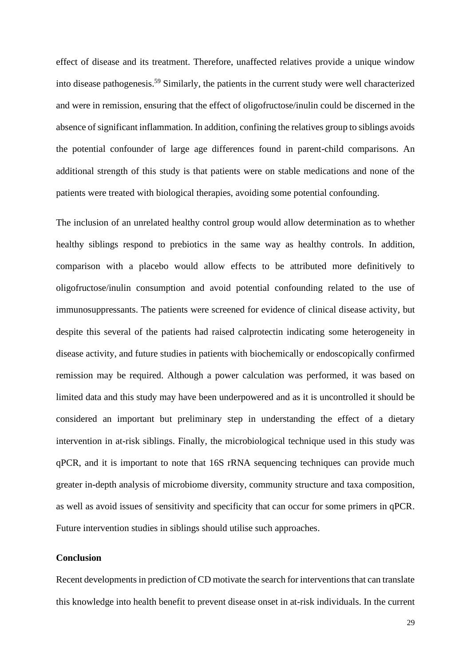effect of disease and its treatment. Therefore, unaffected relatives provide a unique window into disease pathogenesis.[59](#page-35-9) Similarly, the patients in the current study were well characterized and were in remission, ensuring that the effect of oligofructose/inulin could be discerned in the absence of significant inflammation. In addition, confining the relatives group to siblings avoids the potential confounder of large age differences found in parent-child comparisons. An additional strength of this study is that patients were on stable medications and none of the patients were treated with biological therapies, avoiding some potential confounding.

The inclusion of an unrelated healthy control group would allow determination as to whether healthy siblings respond to prebiotics in the same way as healthy controls. In addition, comparison with a placebo would allow effects to be attributed more definitively to oligofructose/inulin consumption and avoid potential confounding related to the use of immunosuppressants. The patients were screened for evidence of clinical disease activity, but despite this several of the patients had raised calprotectin indicating some heterogeneity in disease activity, and future studies in patients with biochemically or endoscopically confirmed remission may be required. Although a power calculation was performed, it was based on limited data and this study may have been underpowered and as it is uncontrolled it should be considered an important but preliminary step in understanding the effect of a dietary intervention in at-risk siblings. Finally, the microbiological technique used in this study was qPCR, and it is important to note that 16S rRNA sequencing techniques can provide much greater in-depth analysis of microbiome diversity, community structure and taxa composition, as well as avoid issues of sensitivity and specificity that can occur for some primers in qPCR. Future intervention studies in siblings should utilise such approaches.

## **Conclusion**

Recent developments in prediction of CD motivate the search for interventions that can translate this knowledge into health benefit to prevent disease onset in at-risk individuals. In the current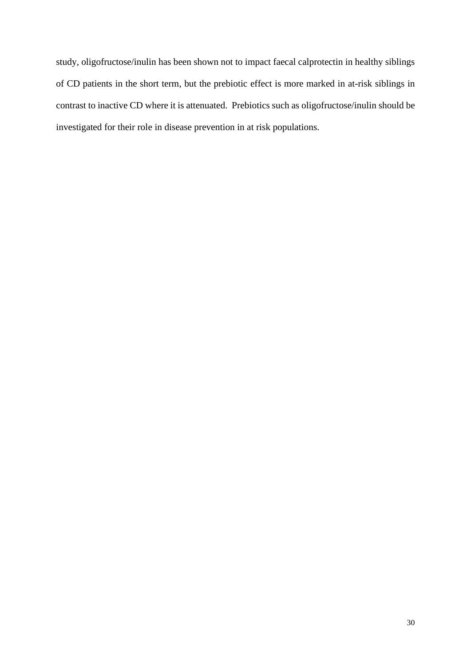study, oligofructose/inulin has been shown not to impact faecal calprotectin in healthy siblings of CD patients in the short term, but the prebiotic effect is more marked in at-risk siblings in contrast to inactive CD where it is attenuated. Prebiotics such as oligofructose/inulin should be investigated for their role in disease prevention in at risk populations.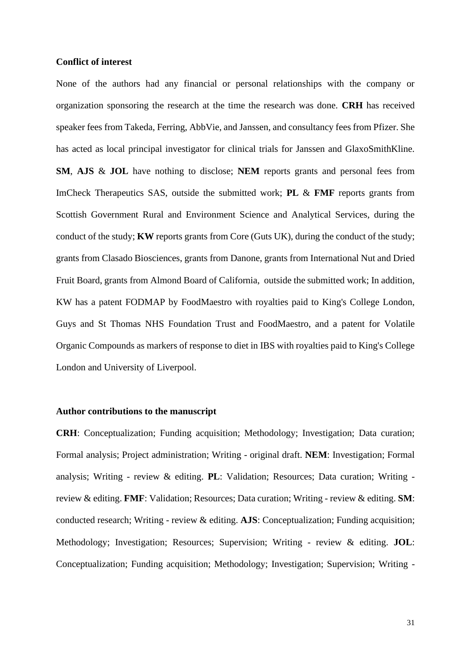#### **Conflict of interest**

None of the authors had any financial or personal relationships with the company or organization sponsoring the research at the time the research was done. **CRH** has received speaker fees from Takeda, Ferring, AbbVie, and Janssen, and consultancy fees from Pfizer. She has acted as local principal investigator for clinical trials for Janssen and GlaxoSmithKline. **SM**, **AJS** & **JOL** have nothing to disclose; **NEM** reports grants and personal fees from ImCheck Therapeutics SAS, outside the submitted work; **PL** & **FMF** reports grants from Scottish Government Rural and Environment Science and Analytical Services, during the conduct of the study; **KW** reports grants from Core (Guts UK), during the conduct of the study; grants from Clasado Biosciences, grants from Danone, grants from International Nut and Dried Fruit Board, grants from Almond Board of California, outside the submitted work; In addition, KW has a patent FODMAP by FoodMaestro with royalties paid to King's College London, Guys and St Thomas NHS Foundation Trust and FoodMaestro, and a patent for Volatile Organic Compounds as markers of response to diet in IBS with royalties paid to King's College London and University of Liverpool.

## **Author contributions to the manuscript**

**CRH**: Conceptualization; Funding acquisition; Methodology; Investigation; Data curation; Formal analysis; Project administration; Writing - original draft. **NEM**: Investigation; Formal analysis; Writing - review & editing. **PL**: Validation; Resources; Data curation; Writing review & editing. **FMF**: Validation; Resources; Data curation; Writing - review & editing. **SM**: conducted research; Writing - review & editing. **AJS**: Conceptualization; Funding acquisition; Methodology; Investigation; Resources; Supervision; Writing - review & editing. **JOL**: Conceptualization; Funding acquisition; Methodology; Investigation; Supervision; Writing -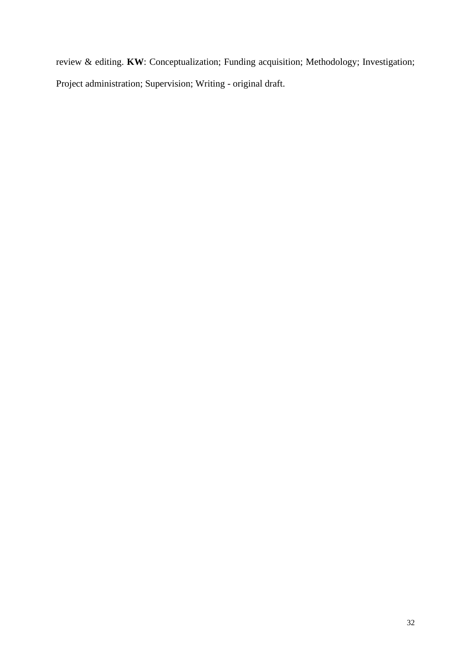review & editing. **KW**: Conceptualization; Funding acquisition; Methodology; Investigation; Project administration; Supervision; Writing - original draft.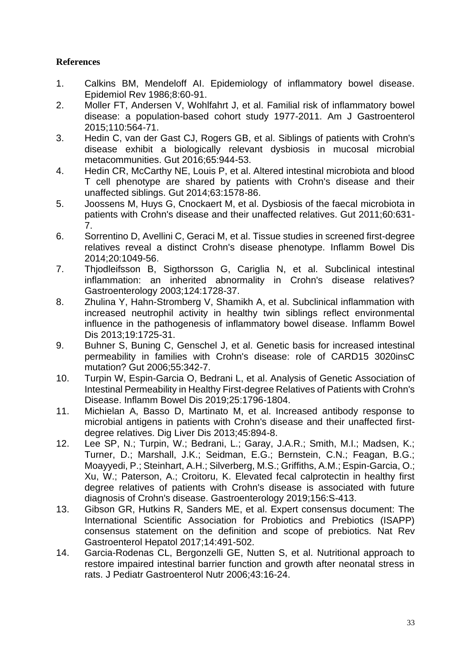## **References**

- <span id="page-32-0"></span>1. Calkins BM, Mendeloff AI. Epidemiology of inflammatory bowel disease. Epidemiol Rev 1986;8:60-91.
- <span id="page-32-1"></span>2. Moller FT, Andersen V, Wohlfahrt J, et al. Familial risk of inflammatory bowel disease: a population-based cohort study 1977-2011. Am J Gastroenterol 2015;110:564-71.
- <span id="page-32-2"></span>3. Hedin C, van der Gast CJ, Rogers GB, et al. Siblings of patients with Crohn's disease exhibit a biologically relevant dysbiosis in mucosal microbial metacommunities. Gut 2016;65:944-53.
- <span id="page-32-15"></span><span id="page-32-3"></span>4. Hedin CR, McCarthy NE, Louis P, et al. Altered intestinal microbiota and blood T cell phenotype are shared by patients with Crohn's disease and their unaffected siblings. Gut 2014;63:1578-86.
- <span id="page-32-4"></span>5. Joossens M, Huys G, Cnockaert M, et al. Dysbiosis of the faecal microbiota in patients with Crohn's disease and their unaffected relatives. Gut 2011;60:631- 7.
- <span id="page-32-5"></span>6. Sorrentino D, Avellini C, Geraci M, et al. Tissue studies in screened first-degree relatives reveal a distinct Crohn's disease phenotype. Inflamm Bowel Dis 2014;20:1049-56.
- <span id="page-32-6"></span>7. Thjodleifsson B, Sigthorsson G, Cariglia N, et al. Subclinical intestinal inflammation: an inherited abnormality in Crohn's disease relatives? Gastroenterology 2003;124:1728-37.
- <span id="page-32-7"></span>8. Zhulina Y, Hahn-Stromberg V, Shamikh A, et al. Subclinical inflammation with increased neutrophil activity in healthy twin siblings reflect environmental influence in the pathogenesis of inflammatory bowel disease. Inflamm Bowel Dis 2013;19:1725-31.
- <span id="page-32-8"></span>9. Buhner S, Buning C, Genschel J, et al. Genetic basis for increased intestinal permeability in families with Crohn's disease: role of CARD15 3020insC mutation? Gut 2006;55:342-7.
- <span id="page-32-9"></span>10. Turpin W, Espin-Garcia O, Bedrani L, et al. Analysis of Genetic Association of Intestinal Permeability in Healthy First-degree Relatives of Patients with Crohn's Disease. Inflamm Bowel Dis 2019;25:1796-1804.
- <span id="page-32-10"></span>11. Michielan A, Basso D, Martinato M, et al. Increased antibody response to microbial antigens in patients with Crohn's disease and their unaffected firstdegree relatives. Dig Liver Dis 2013;45:894-8.
- <span id="page-32-14"></span><span id="page-32-11"></span>12. Lee SP, N.; Turpin, W.; Bedrani, L.; Garay, J.A.R.; Smith, M.I.; Madsen, K.; Turner, D.; Marshall, J.K.; Seidman, E.G.; Bernstein, C.N.; Feagan, B.G.; Moayyedi, P.; Steinhart, A.H.; Silverberg, M.S.; Griffiths, A.M.; Espin-Garcia, O.; Xu, W.; Paterson, A.; Croitoru, K. Elevated fecal calprotectin in healthy first degree relatives of patients with Crohn's disease is associated with future diagnosis of Crohn's disease. Gastroenterology 2019;156:S-413.
- <span id="page-32-12"></span>13. Gibson GR, Hutkins R, Sanders ME, et al. Expert consensus document: The International Scientific Association for Probiotics and Prebiotics (ISAPP) consensus statement on the definition and scope of prebiotics. Nat Rev Gastroenterol Hepatol 2017;14:491-502.
- <span id="page-32-16"></span><span id="page-32-13"></span>14. Garcia-Rodenas CL, Bergonzelli GE, Nutten S, et al. Nutritional approach to restore impaired intestinal barrier function and growth after neonatal stress in rats. J Pediatr Gastroenterol Nutr 2006;43:16-24.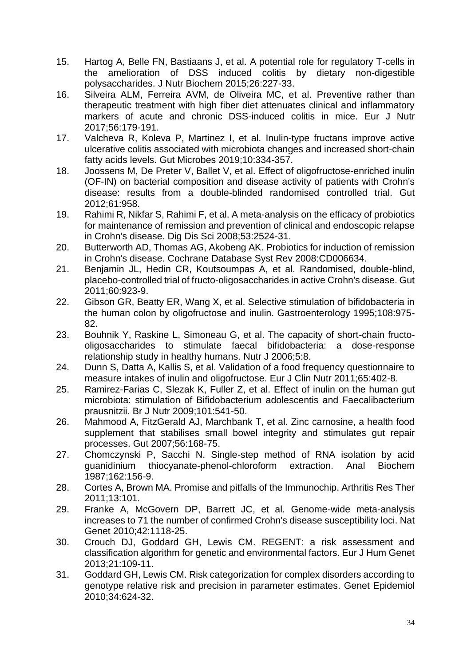- <span id="page-33-0"></span>15. Hartog A, Belle FN, Bastiaans J, et al. A potential role for regulatory T-cells in the amelioration of DSS induced colitis by dietary non-digestible polysaccharides. J Nutr Biochem 2015;26:227-33.
- <span id="page-33-1"></span>16. Silveira ALM, Ferreira AVM, de Oliveira MC, et al. Preventive rather than therapeutic treatment with high fiber diet attenuates clinical and inflammatory markers of acute and chronic DSS-induced colitis in mice. Eur J Nutr 2017;56:179-191.
- <span id="page-33-2"></span>17. Valcheva R, Koleva P, Martinez I, et al. Inulin-type fructans improve active ulcerative colitis associated with microbiota changes and increased short-chain fatty acids levels. Gut Microbes 2019;10:334-357.
- <span id="page-33-3"></span>18. Joossens M, De Preter V, Ballet V, et al. Effect of oligofructose-enriched inulin (OF-IN) on bacterial composition and disease activity of patients with Crohn's disease: results from a double-blinded randomised controlled trial. Gut 2012;61:958.
- <span id="page-33-4"></span>19. Rahimi R, Nikfar S, Rahimi F, et al. A meta-analysis on the efficacy of probiotics for maintenance of remission and prevention of clinical and endoscopic relapse in Crohn's disease. Dig Dis Sci 2008;53:2524-31.
- <span id="page-33-5"></span>20. Butterworth AD, Thomas AG, Akobeng AK. Probiotics for induction of remission in Crohn's disease. Cochrane Database Syst Rev 2008:CD006634.
- <span id="page-33-17"></span><span id="page-33-6"></span>21. Benjamin JL, Hedin CR, Koutsoumpas A, et al. Randomised, double-blind, placebo-controlled trial of fructo-oligosaccharides in active Crohn's disease. Gut 2011;60:923-9.
- <span id="page-33-7"></span>22. Gibson GR, Beatty ER, Wang X, et al. Selective stimulation of bifidobacteria in the human colon by oligofructose and inulin. Gastroenterology 1995;108:975- 82.
- <span id="page-33-8"></span>23. Bouhnik Y, Raskine L, Simoneau G, et al. The capacity of short-chain fructooligosaccharides to stimulate faecal bifidobacteria: a dose-response relationship study in healthy humans. Nutr J 2006;5:8.
- <span id="page-33-18"></span><span id="page-33-9"></span>24. Dunn S, Datta A, Kallis S, et al. Validation of a food frequency questionnaire to measure intakes of inulin and oligofructose. Eur J Clin Nutr 2011;65:402-8.
- <span id="page-33-10"></span>25. Ramirez-Farias C, Slezak K, Fuller Z, et al. Effect of inulin on the human gut microbiota: stimulation of Bifidobacterium adolescentis and Faecalibacterium prausnitzii. Br J Nutr 2009;101:541-50.
- <span id="page-33-11"></span>26. Mahmood A, FitzGerald AJ, Marchbank T, et al. Zinc carnosine, a health food supplement that stabilises small bowel integrity and stimulates gut repair processes. Gut 2007;56:168-75.
- <span id="page-33-12"></span>27. Chomczynski P, Sacchi N. Single-step method of RNA isolation by acid guanidinium thiocyanate-phenol-chloroform extraction. Anal Biochem 1987;162:156-9.
- <span id="page-33-13"></span>28. Cortes A, Brown MA. Promise and pitfalls of the Immunochip. Arthritis Res Ther 2011;13:101.
- <span id="page-33-14"></span>29. Franke A, McGovern DP, Barrett JC, et al. Genome-wide meta-analysis increases to 71 the number of confirmed Crohn's disease susceptibility loci. Nat Genet 2010;42:1118-25.
- <span id="page-33-15"></span>30. Crouch DJ, Goddard GH, Lewis CM. REGENT: a risk assessment and classification algorithm for genetic and environmental factors. Eur J Hum Genet 2013;21:109-11.
- <span id="page-33-16"></span>31. Goddard GH, Lewis CM. Risk categorization for complex disorders according to genotype relative risk and precision in parameter estimates. Genet Epidemiol 2010;34:624-32.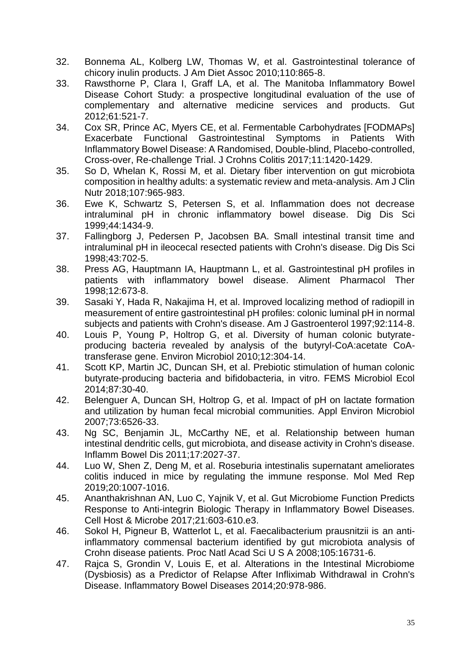- <span id="page-34-0"></span>32. Bonnema AL, Kolberg LW, Thomas W, et al. Gastrointestinal tolerance of chicory inulin products. J Am Diet Assoc 2010;110:865-8.
- <span id="page-34-1"></span>33. Rawsthorne P, Clara I, Graff LA, et al. The Manitoba Inflammatory Bowel Disease Cohort Study: a prospective longitudinal evaluation of the use of complementary and alternative medicine services and products. Gut 2012;61:521-7.
- <span id="page-34-2"></span>34. Cox SR, Prince AC, Myers CE, et al. Fermentable Carbohydrates [FODMAPs] Exacerbate Functional Gastrointestinal Symptoms in Patients With Inflammatory Bowel Disease: A Randomised, Double-blind, Placebo-controlled, Cross-over, Re-challenge Trial. J Crohns Colitis 2017;11:1420-1429.
- <span id="page-34-3"></span>35. So D, Whelan K, Rossi M, et al. Dietary fiber intervention on gut microbiota composition in healthy adults: a systematic review and meta-analysis. Am J Clin Nutr 2018;107:965-983.
- <span id="page-34-4"></span>36. Ewe K, Schwartz S, Petersen S, et al. Inflammation does not decrease intraluminal pH in chronic inflammatory bowel disease. Dig Dis Sci 1999;44:1434-9.
- 37. Fallingborg J, Pedersen P, Jacobsen BA. Small intestinal transit time and intraluminal pH in ileocecal resected patients with Crohn's disease. Dig Dis Sci 1998;43:702-5.
- 38. Press AG, Hauptmann IA, Hauptmann L, et al. Gastrointestinal pH profiles in patients with inflammatory bowel disease. Aliment Pharmacol Ther 1998;12:673-8.
- 39. Sasaki Y, Hada R, Nakajima H, et al. Improved localizing method of radiopill in measurement of entire gastrointestinal pH profiles: colonic luminal pH in normal subjects and patients with Crohn's disease. Am J Gastroenterol 1997;92:114-8.
- <span id="page-34-5"></span>40. Louis P, Young P, Holtrop G, et al. Diversity of human colonic butyrateproducing bacteria revealed by analysis of the butyryl-CoA:acetate CoAtransferase gene. Environ Microbiol 2010;12:304-14.
- <span id="page-34-6"></span>41. Scott KP, Martin JC, Duncan SH, et al. Prebiotic stimulation of human colonic butyrate-producing bacteria and bifidobacteria, in vitro. FEMS Microbiol Ecol 2014;87:30-40.
- <span id="page-34-7"></span>42. Belenguer A, Duncan SH, Holtrop G, et al. Impact of pH on lactate formation and utilization by human fecal microbial communities. Appl Environ Microbiol 2007;73:6526-33.
- <span id="page-34-8"></span>43. Ng SC, Benjamin JL, McCarthy NE, et al. Relationship between human intestinal dendritic cells, gut microbiota, and disease activity in Crohn's disease. Inflamm Bowel Dis 2011;17:2027-37.
- <span id="page-34-9"></span>44. Luo W, Shen Z, Deng M, et al. Roseburia intestinalis supernatant ameliorates colitis induced in mice by regulating the immune response. Mol Med Rep 2019;20:1007-1016.
- <span id="page-34-10"></span>45. Ananthakrishnan AN, Luo C, Yajnik V, et al. Gut Microbiome Function Predicts Response to Anti-integrin Biologic Therapy in Inflammatory Bowel Diseases. Cell Host & Microbe 2017;21:603-610.e3.
- <span id="page-34-11"></span>46. Sokol H, Pigneur B, Watterlot L, et al. Faecalibacterium prausnitzii is an antiinflammatory commensal bacterium identified by gut microbiota analysis of Crohn disease patients. Proc Natl Acad Sci U S A 2008;105:16731-6.
- <span id="page-34-12"></span>47. Rajca S, Grondin V, Louis E, et al. Alterations in the Intestinal Microbiome (Dysbiosis) as a Predictor of Relapse After Infliximab Withdrawal in Crohn's Disease. Inflammatory Bowel Diseases 2014;20:978-986.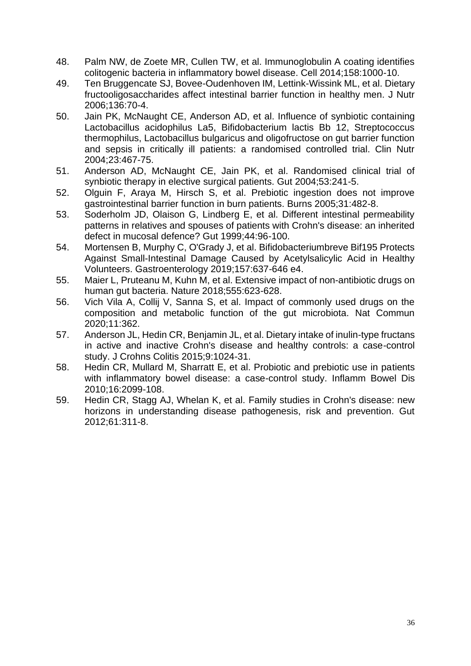- <span id="page-35-0"></span>48. Palm NW, de Zoete MR, Cullen TW, et al. Immunoglobulin A coating identifies colitogenic bacteria in inflammatory bowel disease. Cell 2014;158:1000-10.
- <span id="page-35-1"></span>49. Ten Bruggencate SJ, Bovee-Oudenhoven IM, Lettink-Wissink ML, et al. Dietary fructooligosaccharides affect intestinal barrier function in healthy men. J Nutr 2006;136:70-4.
- <span id="page-35-2"></span>50. Jain PK, McNaught CE, Anderson AD, et al. Influence of synbiotic containing Lactobacillus acidophilus La5, Bifidobacterium lactis Bb 12, Streptococcus thermophilus, Lactobacillus bulgaricus and oligofructose on gut barrier function and sepsis in critically ill patients: a randomised controlled trial. Clin Nutr 2004;23:467-75.
- 51. Anderson AD, McNaught CE, Jain PK, et al. Randomised clinical trial of synbiotic therapy in elective surgical patients. Gut 2004;53:241-5.
- 52. Olguin F, Araya M, Hirsch S, et al. Prebiotic ingestion does not improve gastrointestinal barrier function in burn patients. Burns 2005;31:482-8.
- <span id="page-35-3"></span>53. Soderholm JD, Olaison G, Lindberg E, et al. Different intestinal permeability patterns in relatives and spouses of patients with Crohn's disease: an inherited defect in mucosal defence? Gut 1999;44:96-100.
- <span id="page-35-4"></span>54. Mortensen B, Murphy C, O'Grady J, et al. Bifidobacteriumbreve Bif195 Protects Against Small-Intestinal Damage Caused by Acetylsalicylic Acid in Healthy Volunteers. Gastroenterology 2019;157:637-646 e4.
- <span id="page-35-5"></span>55. Maier L, Pruteanu M, Kuhn M, et al. Extensive impact of non-antibiotic drugs on human gut bacteria. Nature 2018;555:623-628.
- <span id="page-35-6"></span>56. Vich Vila A, Collij V, Sanna S, et al. Impact of commonly used drugs on the composition and metabolic function of the gut microbiota. Nat Commun 2020;11:362.
- <span id="page-35-7"></span>57. Anderson JL, Hedin CR, Benjamin JL, et al. Dietary intake of inulin-type fructans in active and inactive Crohn's disease and healthy controls: a case-control study. J Crohns Colitis 2015;9:1024-31.
- <span id="page-35-8"></span>58. Hedin CR, Mullard M, Sharratt E, et al. Probiotic and prebiotic use in patients with inflammatory bowel disease: a case-control study. Inflamm Bowel Dis 2010;16:2099-108.
- <span id="page-35-9"></span>59. Hedin CR, Stagg AJ, Whelan K, et al. Family studies in Crohn's disease: new horizons in understanding disease pathogenesis, risk and prevention. Gut 2012;61:311-8.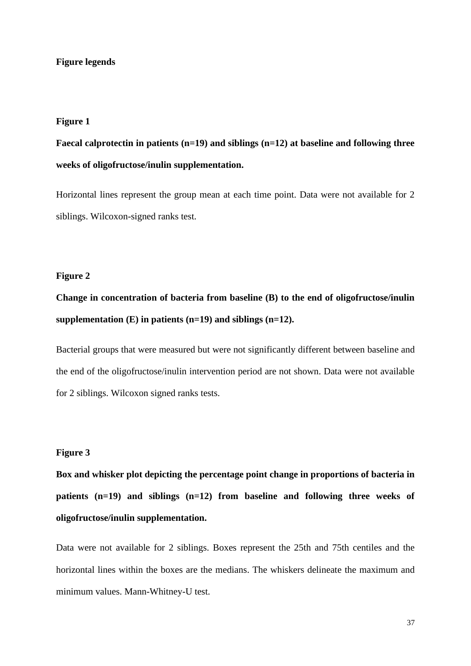#### **Figure legends**

#### **Figure 1**

# **Faecal calprotectin in patients (n=19) and siblings (n=12) at baseline and following three weeks of oligofructose/inulin supplementation.**

Horizontal lines represent the group mean at each time point. Data were not available for 2 siblings. Wilcoxon-signed ranks test.

## **Figure 2**

# **Change in concentration of bacteria from baseline (B) to the end of oligofructose/inulin supplementation (E) in patients (n=19) and siblings (n=12).**

Bacterial groups that were measured but were not significantly different between baseline and the end of the oligofructose/inulin intervention period are not shown. Data were not available for 2 siblings. Wilcoxon signed ranks tests.

#### **Figure 3**

**Box and whisker plot depicting the percentage point change in proportions of bacteria in patients (n=19) and siblings (n=12) from baseline and following three weeks of oligofructose/inulin supplementation.** 

Data were not available for 2 siblings. Boxes represent the 25th and 75th centiles and the horizontal lines within the boxes are the medians. The whiskers delineate the maximum and minimum values. Mann-Whitney-U test.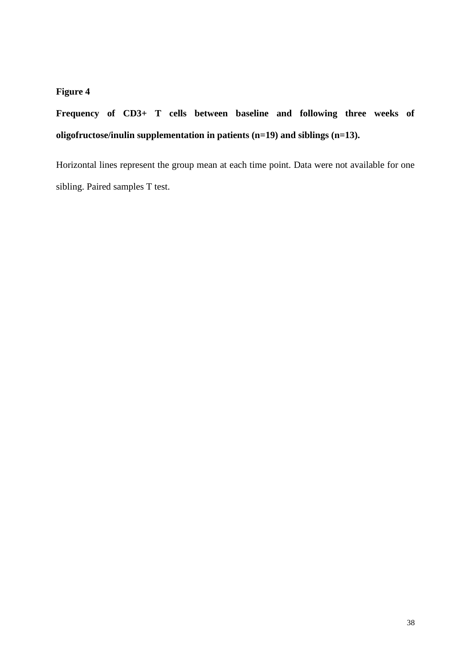## **Figure 4**

**Frequency of CD3+ T cells between baseline and following three weeks of oligofructose/inulin supplementation in patients (n=19) and siblings (n=13).** 

Horizontal lines represent the group mean at each time point. Data were not available for one sibling. Paired samples T test.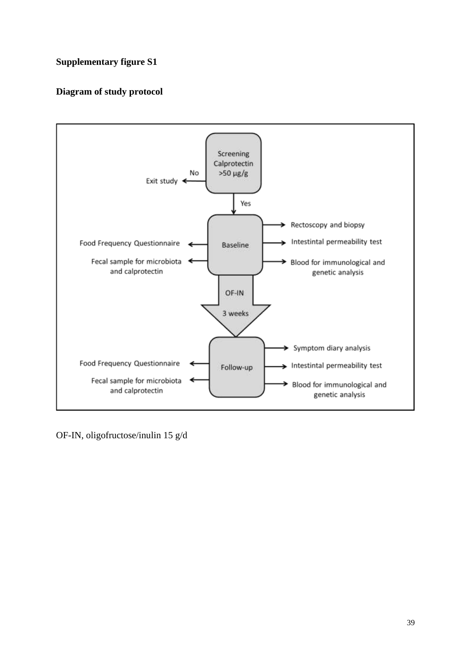## **Supplementary figure S1**

## **Diagram of study protocol**



OF-IN, oligofructose/inulin 15 g/d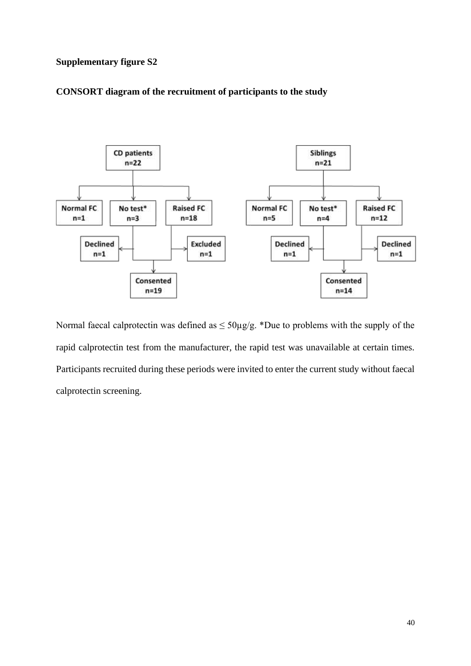## **Supplementary figure S2**

## **CONSORT diagram of the recruitment of participants to the study**



Normal faecal calprotectin was defined as  $\leq 50 \mu g/g$ . \*Due to problems with the supply of the rapid calprotectin test from the manufacturer, the rapid test was unavailable at certain times. Participants recruited during these periods were invited to enter the current study without faecal calprotectin screening.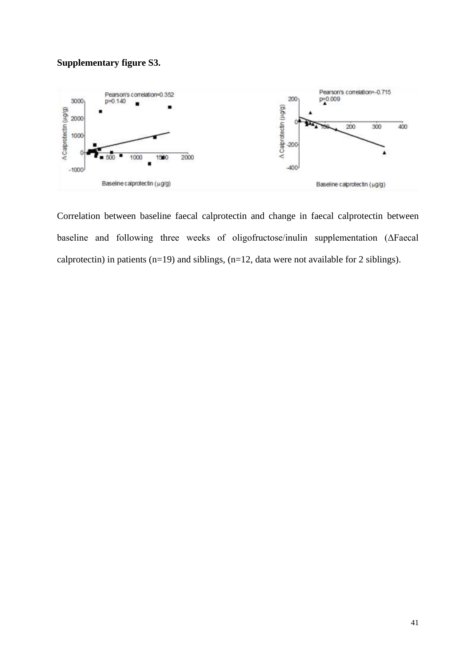## **Supplementary figure S3.**



Correlation between baseline faecal calprotectin and change in faecal calprotectin between baseline and following three weeks of oligofructose/inulin supplementation (ΔFaecal calprotectin) in patients (n=19) and siblings, (n=12, data were not available for 2 siblings).